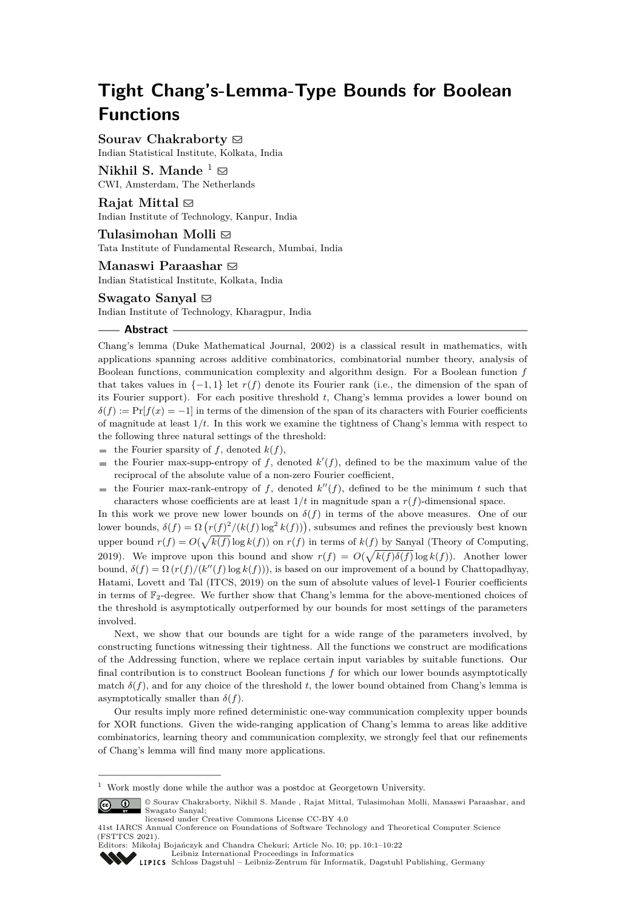# **Tight Chang's-Lemma-Type Bounds for Boolean Functions**

**Sourav Chakraborty** ⊠ Indian Statistical Institute, Kolkata, India

**Nikhil S. Mande**  $\frac{1}{2}$ CWI, Amsterdam, The Netherlands

**Rajat Mittal** ⊠ Indian Institute of Technology, Kanpur, India

Tulasimohan Molli **⊠** Tata Institute of Fundamental Research, Mumbai, India

**Manaswi Paraashar** ⊠ Indian Statistical Institute, Kolkata, India

**Swagato Sanyal** ⊠ Indian Institute of Technology, Kharagpur, India

## **Abstract**

Chang's lemma (Duke Mathematical Journal, 2002) is a classical result in mathematics, with applications spanning across additive combinatorics, combinatorial number theory, analysis of Boolean functions, communication complexity and algorithm design. For a Boolean function *f* that takes values in  $\{-1, 1\}$  let  $r(f)$  denote its Fourier rank (i.e., the dimension of the span of its Fourier support). For each positive threshold *t*, Chang's lemma provides a lower bound on  $\delta(f) := \Pr[f(x) = -1]$  in terms of the dimension of the span of its characters with Fourier coefficients of magnitude at least 1*/t*. In this work we examine the tightness of Chang's lemma with respect to the following three natural settings of the threshold:

- $\blacksquare$  the Fourier sparsity of *f*, denoted *k*(*f*),
- the Fourier max-supp-entropy of  $f$ , denoted  $k'(f)$ , defined to be the maximum value of the  $\blacksquare$ reciprocal of the absolute value of a non-zero Fourier coefficient,
- the Fourier max-rank-entropy of  $f$ , denoted  $k''(f)$ , defined to be the minimum  $t$  such that characters whose coefficients are at least  $1/t$  in magnitude span a  $r(f)$ -dimensional space.

In this work we prove new lower bounds on  $\delta(f)$  in terms of the above measures. One of our lower bounds,  $\delta(f) = \Omega(r(f)^2/(k(f) \log^2 k(f)))$ , subsumes and refines the previously best known upper bound  $r(f) = O(\sqrt{k(f)} \log k(f))$  on  $r(f)$  in terms of  $k(f)$  by Sanyal (Theory of Computing, 2019). We improve upon this bound and show  $r(f) = O(\sqrt{k(f)\delta(f)}\log k(f))$ . Another lower bound,  $\delta(f) = \Omega(r(f)/(k''(f) \log k(f))),$  is based on our improvement of a bound by Chattopadhyay, Hatami, Lovett and Tal (ITCS, 2019) on the sum of absolute values of level-1 Fourier coefficients in terms of  $\mathbb{F}_2$ -degree. We further show that Chang's lemma for the above-mentioned choices of the threshold is asymptotically outperformed by our bounds for most settings of the parameters involved.

Next, we show that our bounds are tight for a wide range of the parameters involved, by constructing functions witnessing their tightness. All the functions we construct are modifications of the Addressing function, where we replace certain input variables by suitable functions. Our final contribution is to construct Boolean functions *f* for which our lower bounds asymptotically match  $\delta(f)$ , and for any choice of the threshold t, the lower bound obtained from Chang's lemma is asymptotically smaller than  $\delta(f)$ .

Our results imply more refined deterministic one-way communication complexity upper bounds for XOR functions. Given the wide-ranging application of Chang's lemma to areas like additive combinatorics, learning theory and communication complexity, we strongly feel that our refinements of Chang's lemma will find many more applications.

 $1$  Work mostly done while the author was a postdoc at Georgetown University.

<sup>©</sup> Sourav Chakraborty, Nikhil S. Mande , Rajat Mittal, Tulasimohan Molli, Manaswi Paraashar, and  $\left($  $\odot$ Swagato Sanyal; licensed under Creative Commons License CC-BY 4.0

<sup>41</sup>st IARCS Annual Conference on Foundations of Software Technology and Theoretical Computer Science (FSTTCS 2021).

Editors: Mikołaj Bojańczyk and Chandra Chekuri; Article No. 10; pp. 10:1–10:22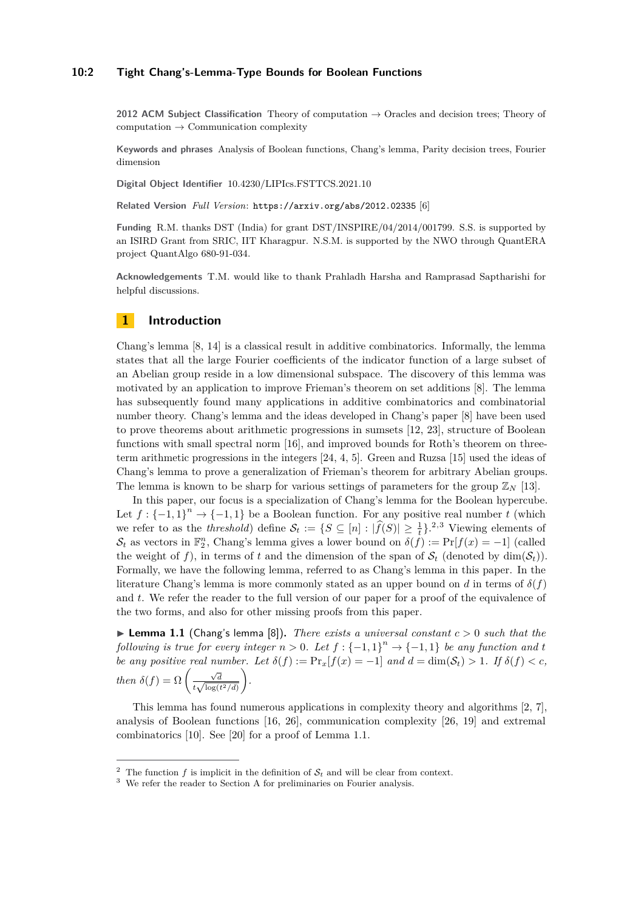#### **10:2 Tight Chang's-Lemma-Type Bounds for Boolean Functions**

**2012 ACM Subject Classification** Theory of computation → Oracles and decision trees; Theory of  $computation \rightarrow Communication complexity$ 

**Keywords and phrases** Analysis of Boolean functions, Chang's lemma, Parity decision trees, Fourier dimension

**Digital Object Identifier** [10.4230/LIPIcs.FSTTCS.2021.10](https://doi.org/10.4230/LIPIcs.FSTTCS.2021.10)

**Related Version** *Full Version*: <https://arxiv.org/abs/2012.02335> [\[6\]](#page-16-0)

**Funding** R.M. thanks DST (India) for grant DST/INSPIRE/04/2014/001799. S.S. is supported by an ISIRD Grant from SRIC, IIT Kharagpur. N.S.M. is supported by the NWO through QuantERA project QuantAlgo 680-91-034.

**Acknowledgements** T.M. would like to thank Prahladh Harsha and Ramprasad Saptharishi for helpful discussions.

# **1 Introduction**

Chang's lemma [\[8,](#page-16-1) [14\]](#page-16-2) is a classical result in additive combinatorics. Informally, the lemma states that all the large Fourier coefficients of the indicator function of a large subset of an Abelian group reside in a low dimensional subspace. The discovery of this lemma was motivated by an application to improve Frieman's theorem on set additions [\[8\]](#page-16-1). The lemma has subsequently found many applications in additive combinatorics and combinatorial number theory. Chang's lemma and the ideas developed in Chang's paper [\[8\]](#page-16-1) have been used to prove theorems about arithmetic progressions in sumsets [\[12,](#page-16-3) [23\]](#page-16-4), structure of Boolean functions with small spectral norm [\[16\]](#page-16-5), and improved bounds for Roth's theorem on threeterm arithmetic progressions in the integers [\[24,](#page-16-6) [4,](#page-16-7) [5\]](#page-16-8). Green and Ruzsa [\[15\]](#page-16-9) used the ideas of Chang's lemma to prove a generalization of Frieman's theorem for arbitrary Abelian groups. The lemma is known to be sharp for various settings of parameters for the group  $\mathbb{Z}_N$  [\[13\]](#page-16-10).

In this paper, our focus is a specialization of Chang's lemma for the Boolean hypercube. Let  $f: \{-1,1\}^n \to \{-1,1\}$  be a Boolean function. For any positive real number *t* (which we refer to as the *threshold*) define  $S_t := \{ S \subseteq [n] : |\hat{f}(S)| \geq \frac{1}{t} \}$ .<sup>[2,](#page-1-0)[3](#page-1-1)</sup> Viewing elements of  $S_t$  as vectors in  $\mathbb{F}_2^n$ , Chang's lemma gives a lower bound on  $\delta(f) := \Pr[f(x) = -1]$  (called the weight of f), in terms of t and the dimension of the span of  $\mathcal{S}_t$  (denoted by dim( $\mathcal{S}_t$ )). Formally, we have the following lemma, referred to as Chang's lemma in this paper. In the literature Chang's lemma is more commonly stated as an upper bound on *d* in terms of  $\delta(f)$ and *t*. We refer the reader to the full version of our paper for a proof of the equivalence of the two forms, and also for other missing proofs from this paper.

<span id="page-1-2"></span> $\triangleright$  **Lemma 1.1** (Chang's lemma [\[8\]](#page-16-1)). *There exists a universal constant*  $c > 0$  *such that the following is true for every integer*  $n > 0$ *. Let*  $f : \{-1,1\}^n \rightarrow \{-1,1\}$  *be any function and t be any positive real number. Let*  $\delta(f) := \Pr_x[f(x) = -1]$  *and*  $d = \dim(\mathcal{S}_t) > 1$ *. If*  $\delta(f) < c$ *, then*  $\delta(f) = \Omega \left( \frac{\sqrt{d}}{f} \right)$  $\frac{\sqrt{d}}{t\sqrt{\log(t^2/d)}}$ *.*

This lemma has found numerous applications in complexity theory and algorithms [\[2,](#page-16-11) [7\]](#page-16-12), analysis of Boolean functions [\[16,](#page-16-5) [26\]](#page-17-0), communication complexity [\[26,](#page-17-0) [19\]](#page-16-13) and extremal combinatorics [\[10\]](#page-16-14). See [\[20\]](#page-16-15) for a proof of Lemma [1.1.](#page-1-2)

<span id="page-1-0"></span><sup>&</sup>lt;sup>2</sup> The function *f* is implicit in the definition of  $S_t$  and will be clear from context.

<span id="page-1-1"></span><sup>&</sup>lt;sup>3</sup> We refer the reader to Section [A](#page-17-1) for preliminaries on Fourier analysis.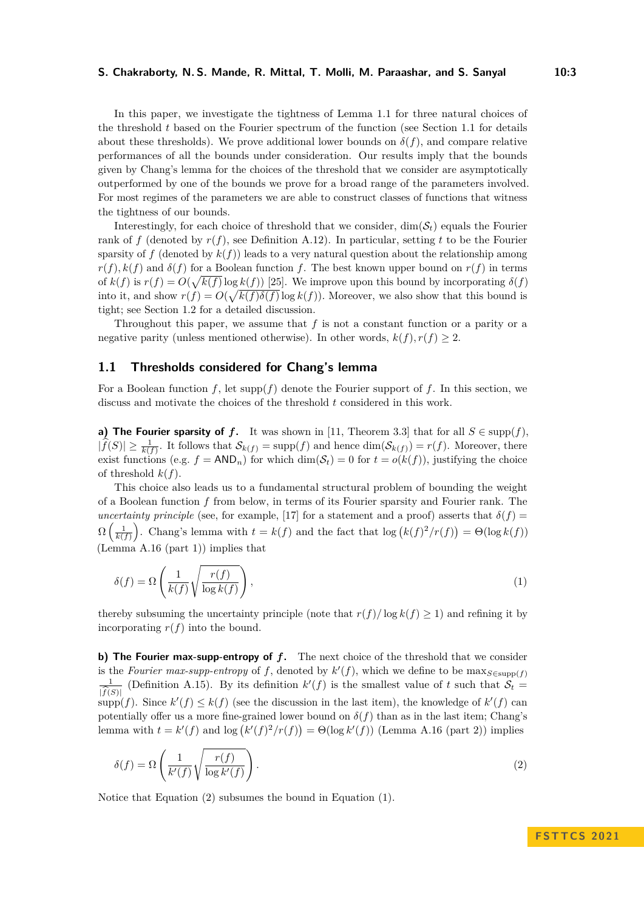In this paper, we investigate the tightness of Lemma [1.1](#page-1-2) for three natural choices of the threshold *t* based on the Fourier spectrum of the function (see Section [1.1](#page-2-0) for details about these thresholds). We prove additional lower bounds on  $\delta(f)$ , and compare relative performances of all the bounds under consideration. Our results imply that the bounds given by Chang's lemma for the choices of the threshold that we consider are asymptotically outperformed by one of the bounds we prove for a broad range of the parameters involved. For most regimes of the parameters we are able to construct classes of functions that witness the tightness of our bounds.

Interestingly, for each choice of threshold that we consider,  $\dim(\mathcal{S}_t)$  equals the Fourier rank of f (denoted by  $r(f)$ , see Definition [A.12\)](#page-19-0). In particular, setting t to be the Fourier sparsity of  $f$  (denoted by  $k(f)$ ) leads to a very natural question about the relationship among  $r(f)$ ,  $k(f)$  and  $\delta(f)$  for a Boolean function *f*. The best known upper bound on  $r(f)$  in terms of  $k(f)$  is  $r(f) = O(\sqrt{k(f)} \log k(f))$  [\[25\]](#page-17-2). We improve upon this bound by incorporating  $\delta(f)$ into it, and show  $r(f) = O(\sqrt{k(f)\delta(f)}\log k(f))$ . Moreover, we also show that this bound is tight; see Section [1.2](#page-3-0) for a detailed discussion.

Throughout this paper, we assume that *f* is not a constant function or a parity or a negative parity (unless mentioned otherwise). In other words,  $k(f)$ ,  $r(f) > 2$ .

## <span id="page-2-0"></span>**1.1 Thresholds considered for Chang's lemma**

For a Boolean function *f*, let supp(*f*) denote the Fourier support of *f*. In this section, we discuss and motivate the choices of the threshold *t* considered in this work.

**a) The Fourier sparsity of f.** It was shown in [\[11,](#page-16-16) Theorem 3.3] that for all  $S \in \text{supp}(f)$ ,  $|\widehat{f}(S)| \ge \frac{1}{k(f)}$ . It follows that  $\mathcal{S}_{k(f)} = \text{supp}(f)$  and hence  $\dim(\mathcal{S}_{k(f)}) = r(f)$ . Moreover, there exist functions (e.g.  $f = AND_n$ ) for which dim( $S_t$ ) = 0 for  $t = o(k(f))$ , justifying the choice of threshold  $k(f)$ .

This choice also leads us to a fundamental structural problem of bounding the weight of a Boolean function *f* from below, in terms of its Fourier sparsity and Fourier rank. The *uncertainty principle* (see, for example, [\[17\]](#page-16-17) for a statement and a proof) asserts that  $\delta(f)$  =  $\Omega\left(\frac{1}{k(f)}\right)$ . Chang's lemma with  $t = k(f)$  and the fact that  $\log (k(f)^2/r(f)) = \Theta(\log k(f))$ (Lemma [A.16](#page-20-0) (part 1)) implies that

<span id="page-2-2"></span>
$$
\delta(f) = \Omega\left(\frac{1}{k(f)}\sqrt{\frac{r(f)}{\log k(f)}}\right),\tag{1}
$$

thereby subsuming the uncertainty principle (note that  $r(f)/\log k(f) \geq 1$ ) and refining it by incorporating  $r(f)$  into the bound.

**b) The Fourier max-supp-entropy of** *f***.** The next choice of the threshold that we consider is the *Fourier max-supp-entropy* of f, denoted by  $k'(f)$ , which we define to be  $\max_{S \in \text{supp}(f)}$ 1  $|f(S)|$ (Definition [A.15\)](#page-19-1). By its definition  $k'(f)$  is the smallest value of t such that  $S_t$  $\sup p(f)$ . Since  $k'(f) \leq k(f)$  (see the discussion in the last item), the knowledge of  $k'(f)$  can potentially offer us a more fine-grained lower bound on  $\delta(f)$  than as in the last item; Chang's lemma with  $t = k'(f)$  and  $\log (k'(f)^2/r(f)) = \Theta(\log k'(f))$  (Lemma [A.16](#page-20-0) (part 2)) implies

<span id="page-2-1"></span>
$$
\delta(f) = \Omega\left(\frac{1}{k'(f)}\sqrt{\frac{r(f)}{\log k'(f)}}\right). \tag{2}
$$

Notice that Equation [\(2\)](#page-2-1) subsumes the bound in Equation [\(1\)](#page-2-2).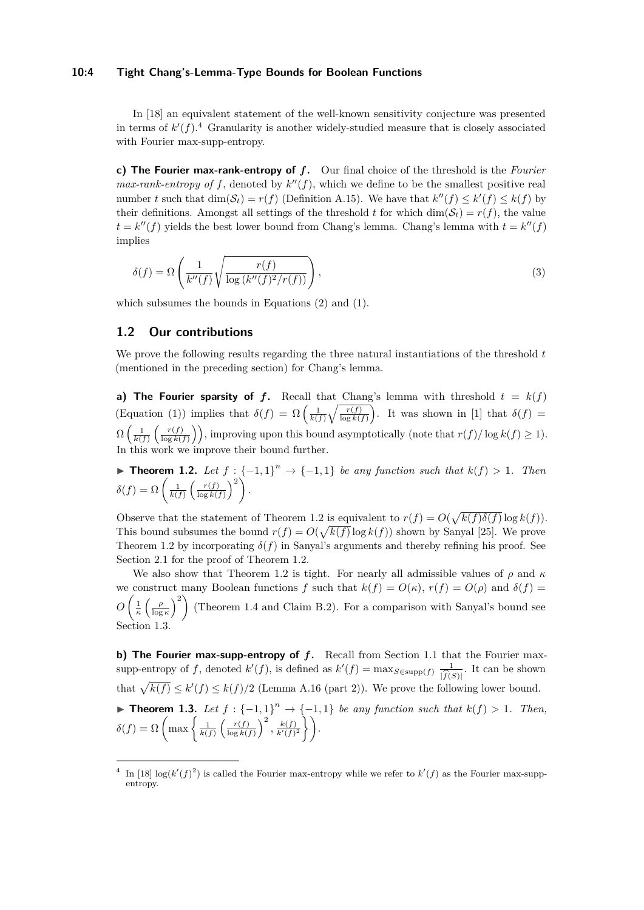#### **10:4 Tight Chang's-Lemma-Type Bounds for Boolean Functions**

In [\[18\]](#page-16-18) an equivalent statement of the well-known sensitivity conjecture was presented in terms of  $k'(f)$ .<sup>[4](#page-3-1)</sup> Granularity is another widely-studied measure that is closely associated with Fourier max-supp-entropy.

**c) The Fourier max-rank-entropy of** *f***.** Our final choice of the threshold is the *Fourier max-rank-entropy of*  $f$ , denoted by  $k''(f)$ , which we define to be the smallest positive real number *t* such that  $\dim(\mathcal{S}_t) = r(f)$  (Definition [A.15\)](#page-19-1). We have that  $k''(f) \leq k'(f) \leq k(f)$  by their definitions. Amongst all settings of the threshold *t* for which dim( $S_t$ ) =  $r(f)$ , the value  $t = k''(f)$  yields the best lower bound from Chang's lemma. Chang's lemma with  $t = k''(f)$ implies

<span id="page-3-4"></span>
$$
\delta(f) = \Omega\left(\frac{1}{k''(f)}\sqrt{\frac{r(f)}{\log\left(k''(f)^2/r(f)\right)}}\right),\tag{3}
$$

which subsumes the bounds in Equations [\(2\)](#page-2-1) and [\(1\)](#page-2-2).

# <span id="page-3-0"></span>**1.2 Our contributions**

We prove the following results regarding the three natural instantiations of the threshold *t* (mentioned in the preceding section) for Chang's lemma.

**a) The Fourier sparsity of f.** Recall that Chang's lemma with threshold  $t = k(f)$  $(\text{Equation (1)})$  $(\text{Equation (1)})$  $(\text{Equation (1)})$  implies that  $\delta(f) = \Omega\left(\frac{1}{k(f)}\sqrt{\frac{r(f)}{\log k(f)}}\right)$ . It was shown in [\[1\]](#page-15-0) that  $\delta(f) =$  $\Omega\left(\frac{1}{k(f)}\left(\frac{r(f)}{\log k(f)}\right)\right]$  $\left(\frac{r(f)}{\log k(f)}\right)$ , improving upon this bound asymptotically (note that  $r(f)/\log k(f) \geq 1$ ). In this work we improve their bound further.

<span id="page-3-2"></span>▶ **Theorem 1.2.** Let  $f : \{-1,1\}^n \rightarrow \{-1,1\}$  be any function such that  $k(f) > 1$ . Then  $\delta(f) = \Omega\left(\frac{1}{k(f)}\left(\frac{r(f)}{\log k}\right)\right)$  $\frac{r(f)}{\log k(f)}\bigg)^2$ .

Observe that the statement of Theorem [1.2](#page-3-2) is equivalent to  $r(f) = O(\sqrt{k(f)\delta(f)} \log k(f)).$ This bound subsumes the bound  $r(f) = O(\sqrt{k(f)} \log k(f))$  shown by Sanyal [\[25\]](#page-17-2). We prove Theorem [1.2](#page-3-2) by incorporating  $\delta(f)$  in Sanyal's arguments and thereby refining his proof. See Section [2.1](#page-7-0) for the proof of Theorem [1.2.](#page-3-2)

We also show that Theorem [1.2](#page-3-2) is tight. For nearly all admissible values of  $\rho$  and  $\kappa$ we construct many Boolean functions *f* such that  $k(f) = O(\kappa)$ ,  $r(f) = O(\rho)$  and  $\delta(f) =$  $O\left(\frac{1}{\kappa}\left(\frac{\rho}{\log \kappa}\right)^2\right)$ (Theorem [1.4](#page-4-0) and Claim [B.2\)](#page-21-0). For a comparison with Sanyal's bound see Section [1.3.](#page-6-0)

<span id="page-3-3"></span>**b) The Fourier max-supp-entropy of** *f***.** Recall from Section [1.1](#page-2-0) that the Fourier maxsupp-entropy of f, denoted  $k'(f)$ , is defined as  $k'(f) = \max_{S \in \text{supp}(f)} \frac{1}{\widehat{k}(S)}$ . It can be shown  $\frac{f(S)}{f(S)}$ <br>that  $\sqrt{k(f)} \le k'(f) \le k(f)/2$  (Lemma [A.16](#page-20-0) (part 2)). We prove the following lower bound. ▶ **Theorem 1.3.** Let  $f: \{-1,1\}^n \rightarrow \{-1,1\}$  be any function such that  $k(f) > 1$ . Then,  $\delta(f) = \Omega \left( \max \left\{ \frac{1}{k(f)} \left( \frac{r(f)}{\log k(f)} \right) \right\}$  $\left\{\frac{r(f)}{\log k(f)}\right\}^2, \frac{k(f)}{k'(f)^2}\right\}.$ 

<span id="page-3-1"></span><sup>&</sup>lt;sup>4</sup> In [\[18\]](#page-16-18)  $\log(k'(f)^2)$  is called the Fourier max-entropy while we refer to  $k'(f)$  as the Fourier max-suppentropy.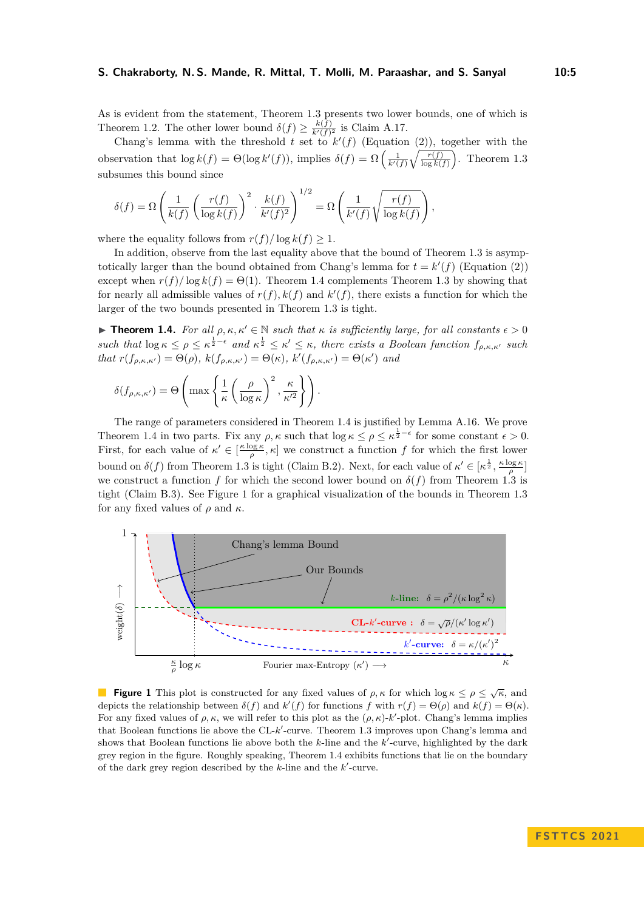As is evident from the statement, Theorem [1.3](#page-3-3) presents two lower bounds, one of which is Theorem [1.2.](#page-3-2) The other lower bound  $\delta(f) \geq \frac{k(f)}{k'(f)^2}$  is Claim [A.17.](#page-20-1)

Chang's lemma with the threshold *t* set to  $k'(f)$  (Equation [\(2\)](#page-2-1)), together with the observation that  $\log k(f) = \Theta(\log k'(f))$ , implies  $\delta(f) = \Omega\left(\frac{1}{k'(f)}\sqrt{\frac{r(f)}{\log k(f)}}\right)$ . Theorem [1.3](#page-3-3) subsumes this bound since

$$
\delta(f) = \Omega\left(\frac{1}{k(f)}\left(\frac{r(f)}{\log k(f)}\right)^2 \cdot \frac{k(f)}{k'(f)^2}\right)^{1/2} = \Omega\left(\frac{1}{k'(f)}\sqrt{\frac{r(f)}{\log k(f)}}\right),\,
$$

where the equality follows from  $r(f)/\log k(f) \geq 1$ .

In addition, observe from the last equality above that the bound of Theorem [1.3](#page-3-3) is asymptotically larger than the bound obtained from Chang's lemma for  $t = k'(f)$  (Equation [\(2\)](#page-2-1)) except when  $r(f)/\log k(f) = \Theta(1)$ . Theorem [1.4](#page-4-0) complements Theorem [1.3](#page-3-3) by showing that for nearly all admissible values of  $r(f)$ ,  $k(f)$  and  $k'(f)$ , there exists a function for which the larger of the two bounds presented in Theorem [1.3](#page-3-3) is tight.

<span id="page-4-0"></span>**► Theorem 1.4.** For all  $\rho, \kappa, \kappa' \in \mathbb{N}$  such that  $\kappa$  is sufficiently large, for all constants  $\epsilon > 0$  $\mathbf{a} \times \mathbf{b} = \mathbf{b} \times \mathbf{c}$   $\mathbf{c} \times \mathbf{c}$   $\mathbf{c} \times \mathbf{c}$   $\mathbf{c} \times \mathbf{c}$  and  $\mathbf{c} \times \mathbf{c} \times \mathbf{c}$   $\mathbf{c} \times \mathbf{c}$ , there exists a Boolean function  $f_{\rho,\kappa,\kappa'}$  such *that*  $r(f_{\rho,\kappa,\kappa'}) = \Theta(\rho)$ ,  $k(f_{\rho,\kappa,\kappa'}) = \Theta(\kappa)$ ,  $k'(f_{\rho,\kappa,\kappa'}) = \Theta(\kappa')$  and

$$
\delta(f_{\rho,\kappa,\kappa'}) = \Theta\left(\max\left\{\frac{1}{\kappa}\left(\frac{\rho}{\log \kappa}\right)^2, \frac{\kappa}{\kappa'^2}\right\}\right).
$$

The range of parameters considered in Theorem [1.4](#page-4-0) is justified by Lemma [A.16.](#page-20-0) We prove Theorem [1.4](#page-4-0) in two parts. Fix any  $\rho$ ,  $\kappa$  such that  $\log \kappa \leq \rho \leq \kappa^{\frac{1}{2}-\epsilon}$  for some constant  $\epsilon > 0$ . First, for each value of  $\kappa' \in \left[\frac{\kappa \log \kappa}{\rho}, \kappa\right]$  we construct a function f for which the first lower bound on  $\delta(f)$  from Theorem [1.3](#page-3-3) is tight (Claim [B.2\)](#page-21-0). Next, for each value of  $\kappa' \in [\kappa^{\frac{1}{2}}, \frac{\kappa \log \kappa}{\rho}]$ we construct a function *f* for which the second lower bound on  $\delta(f)$  from Theorem [1.3](#page-3-3) is tight (Claim [B.3\)](#page-21-1). See Figure [1](#page-4-1) for a graphical visualization of the bounds in Theorem [1.3](#page-3-3) for any fixed values of  $\rho$  and  $\kappa$ .

<span id="page-4-1"></span>

**Figure 1** This plot is constructed for any fixed values of  $\rho$ ,  $\kappa$  for which log  $\kappa \leq \rho \leq \sqrt{\kappa}$ , and depicts the relationship between  $\delta(f)$  and  $k'(f)$  for functions f with  $r(f) = \Theta(\rho)$  and  $k(f) = \Theta(\kappa)$ . For any fixed values of  $\rho$ ,  $\kappa$ , we will refer to this plot as the  $(\rho, \kappa)$ -*k'*-plot. Chang's lemma implies that Boolean functions lie above the CL-*k'*-curve. Theorem [1.3](#page-3-3) improves upon Chang's lemma and shows that Boolean functions lie above both the *k*-line and the *k*'-curve, highlighted by the dark grey region in the figure. Roughly speaking, Theorem [1.4](#page-4-0) exhibits functions that lie on the boundary of the dark grey region described by the *k*-line and the *k* ′ -curve.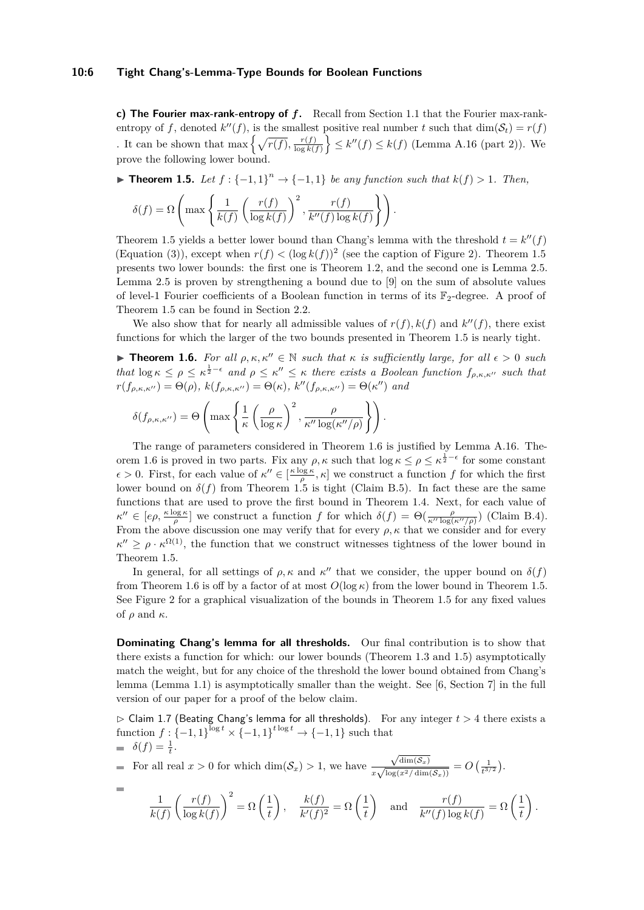#### **10:6 Tight Chang's-Lemma-Type Bounds for Boolean Functions**

**c) The Fourier max-rank-entropy of** *f***.** Recall from Section [1.1](#page-2-0) that the Fourier max-rankentropy of *f*, denoted  $k''(f)$ , is the smallest positive real number *t* such that  $dim(\mathcal{S}_t) = r(f)$ . It can be shown that max  $\left\{ \sqrt{r(f)}, \frac{r(f)}{\log k(f)} \right\}$  $\left\{\frac{r(f)}{\log k(f)}\right\} \leq k''(f) \leq k(f)$  (Lemma [A.16](#page-20-0) (part 2)). We prove the following lower bound.

<span id="page-5-0"></span>▶ **Theorem 1.5.** *Let*  $f: \{-1, 1\}^n \rightarrow \{-1, 1\}$  *be any function such that*  $k(f) > 1$ *. Then,* 

$$
\delta(f) = \Omega\left(\max\left\{\frac{1}{k(f)}\left(\frac{r(f)}{\log k(f)}\right)^2, \frac{r(f)}{k''(f)\log k(f)}\right\}\right).
$$

Theorem [1.5](#page-5-0) yields a better lower bound than Chang's lemma with the threshold  $t = k''(f)$ (Equation [\(3\)](#page-3-4)), except when  $r(f) < (\log k(f))^2$  (see the caption of Figure [2\)](#page-6-1). Theorem [1.5](#page-5-0) presents two lower bounds: the first one is Theorem [1.2,](#page-3-2) and the second one is Lemma [2.5.](#page-11-0) Lemma [2.5](#page-11-0) is proven by strengthening a bound due to [\[9\]](#page-16-19) on the sum of absolute values of level-1 Fourier coefficients of a Boolean function in terms of its  $\mathbb{F}_2$ -degree. A proof of Theorem [1.5](#page-5-0) can be found in Section [2.2.](#page-11-1)

We also show that for nearly all admissible values of  $r(f)$ ,  $k(f)$  and  $k''(f)$ , there exist functions for which the larger of the two bounds presented in Theorem [1.5](#page-5-0) is nearly tight.

<span id="page-5-1"></span>**► Theorem 1.6.** For all  $\rho, \kappa, \kappa'' \in \mathbb{N}$  such that  $\kappa$  is sufficiently large, for all  $\epsilon > 0$  such  $\int$  *that*  $\log \kappa \leq \rho \leq \kappa^{\frac{1}{2}-\epsilon}$  and  $\rho \leq \kappa'' \leq \kappa$  there exists a Boolean function  $f_{\rho,\kappa,\kappa''}$  such that  $r(f_{\rho,\kappa,\kappa''}) = \Theta(\rho), k(f_{\rho,\kappa,\kappa''}) = \Theta(\kappa), k''(f_{\rho,\kappa,\kappa''}) = \Theta(\kappa'')$  and

$$
\delta(f_{\rho,\kappa,\kappa^{\prime\prime}}) = \Theta\left(\max\left\{\frac{1}{\kappa}\left(\frac{\rho}{\log\kappa}\right)^2, \frac{\rho}{\kappa^{\prime\prime}\log(\kappa^{\prime\prime}/\rho)}\right\}\right).
$$

The range of parameters considered in Theorem [1.6](#page-5-1) is justified by Lemma [A.16.](#page-20-0) The-orem [1.6](#page-5-1) is proved in two parts. Fix any  $\rho$ ,  $\kappa$  such that  $\log \kappa \leq \rho \leq \kappa^{\frac{1}{2}-\epsilon}$  for some constant  $\epsilon > 0$ . First, for each value of  $\kappa'' \in \left[\frac{\kappa \log \kappa}{\rho}, \kappa\right]$  we construct a function *f* for which the first lower bound on  $\delta(f)$  from Theorem [1.5](#page-5-0) is tight (Claim [B.5\)](#page-21-2). In fact these are the same functions that are used to prove the first bound in Theorem [1.4.](#page-4-0) Next, for each value of  $\kappa'' \in [e\rho, \frac{\kappa \log \kappa}{\rho}]$  we construct a function *f* for which  $\delta(f) = \Theta(\frac{\rho}{\kappa'' \log(\kappa''/\rho)})$  (Claim [B.4\)](#page-18-0). From the above discussion one may verify that for every  $\rho$ ,  $\kappa$  that we consider and for every  $\kappa'' \geq \rho \cdot \kappa^{\Omega(1)}$ , the function that we construct witnesses tightness of the lower bound in Theorem [1.5.](#page-5-0)

In general, for all settings of  $\rho$ ,  $\kappa$  and  $\kappa''$  that we consider, the upper bound on  $\delta(f)$ from Theorem [1.6](#page-5-1) is off by a factor of at most  $O(\log \kappa)$  from the lower bound in Theorem [1.5.](#page-5-0) See Figure [2](#page-6-1) for a graphical visualization of the bounds in Theorem [1.5](#page-5-0) for any fixed values of  $\rho$  and  $\kappa$ .

**Dominating Chang's lemma for all thresholds.** Our final contribution is to show that there exists a function for which: our lower bounds (Theorem [1.3](#page-3-3) and [1.5\)](#page-5-0) asymptotically match the weight, but for any choice of the threshold the lower bound obtained from Chang's lemma (Lemma [1.1\)](#page-1-2) is asymptotically smaller than the weight. See [\[6,](#page-16-0) Section 7] in the full version of our paper for a proof of the below claim.

<span id="page-5-2"></span> $\triangleright$  Claim 1.7 (Beating Chang's lemma for all thresholds). For any integer  $t > 4$  there exists a function  $f: \{-1, 1\}^{\log t} \times \{-1, 1\}^{\text{t log } t} \to \{-1, 1\}$  such that  $\delta(f) = \frac{1}{t}$ .

For all real  $x > 0$  for which  $\dim(\mathcal{S}_x) > 1$ , we have  $\sqrt{\dim(\mathcal{S}_x)}$  $\frac{\sqrt{\dim(S_x)}}{x\sqrt{\log(x^2/\dim(S_x))}} = O\left(\frac{1}{t^{3/2}}\right).$ 

۰

$$
\frac{1}{k(f)} \left( \frac{r(f)}{\log k(f)} \right)^2 = \Omega \left( \frac{1}{t} \right), \quad \frac{k(f)}{k'(f)^2} = \Omega \left( \frac{1}{t} \right) \quad \text{and} \quad \frac{r(f)}{k''(f) \log k(f)} = \Omega \left( \frac{1}{t} \right).
$$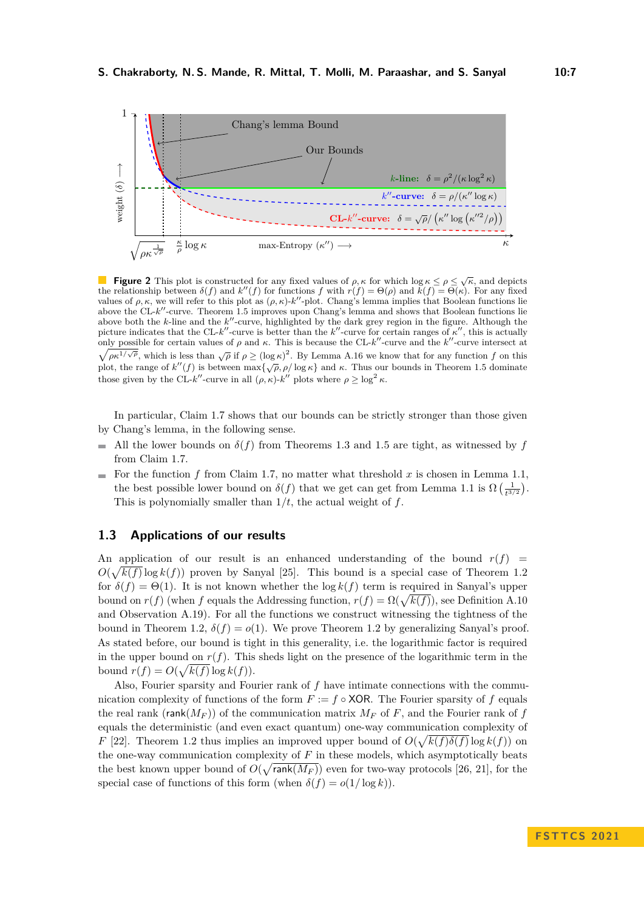<span id="page-6-1"></span>

**Figure 2** This plot is constructed for any fixed values of  $\rho, \kappa$  for which log  $\kappa \leq \rho \leq \sqrt{\kappa}$ , and depicts the relationship between  $\delta(f)$  and  $k''(f)$  for functions  $f$  with  $r(f) = \Theta(\rho)$  and  $k(f) = \Theta(\kappa)$ . For any fixed values of  $\rho, \kappa$ , we will refer to this plot as  $(\rho, \kappa)$ - $k''$ -plot. Chang's lemma implies that Boolean functions lie above the CL-*k*<sup>'</sup>-curve. Theorem [1.5](#page-5-0) improves upon Chang's lemma and shows that Boolean functions lie above both the *k*-line and the *k*"-curve, highlighted by the dark grey region in the figure. Although the picture indicates that the CL-*k*"-curve is better than the  $k''$ -curve for certain ranges of  $\kappa''$ , this is actually only possible for certain values of  $\rho$  and  $\kappa$ . This is because the CL- $k''$ -curve and the  $k''$ -curve intersect at  $\sqrt{\rho \kappa^{1/\sqrt{\rho}}}$ , which is less than  $\sqrt{\rho}$  if  $\rho \geq (\log \kappa)^2$ . By Lemma [A.16](#page-20-0) we know that for any function *f* on this plot, the range of  $k''(f)$  is between  $\max{\{\sqrt{\rho}, \rho/\log \kappa\}}$  and  $\kappa$ . Thus our bounds in Theorem [1.5](#page-5-0) dominate those given by the CL- $k''$ -curve in all  $(\rho, \kappa)$ - $k''$  plots where  $\rho \geq \log^2 \kappa$ .

In particular, Claim [1.7](#page-5-2) shows that our bounds can be strictly stronger than those given by Chang's lemma, in the following sense.

- All the lower bounds on  $\delta(f)$  from Theorems [1.3](#page-3-3) and [1.5](#page-5-0) are tight, as witnessed by f from Claim [1.7.](#page-5-2)
- For the function  $f$  from Claim [1.7,](#page-5-2) no matter what threshold  $x$  is chosen in Lemma [1.1,](#page-1-2)  $\sim$ the best possible lower bound on  $\delta(f)$  that we get can get from Lemma [1.1](#page-1-2) is  $\Omega\left(\frac{1}{t^{3/2}}\right)$ . This is polynomially smaller than  $1/t$ , the actual weight of  $f$ .

# <span id="page-6-0"></span>**1.3 Applications of our results**

An application of our result is an enhanced understanding of the bound  $r(f)$  =  $O(\sqrt{k(f)} \log k(f))$  proven by Sanyal [\[25\]](#page-17-2). This bound is a special case of Theorem [1.2](#page-3-2) for  $\delta(f) = \Theta(1)$ . It is not known whether the  $\log k(f)$  term is required in Sanyal's upper bound on  $r(f)$  (when *f* equals the Addressing function,  $r(f) = \Omega(\sqrt{k(f)})$ , see Definition [A.10](#page-18-1) and Observation [A.19\)](#page-20-2). For all the functions we construct witnessing the tightness of the bound in Theorem [1.2,](#page-3-2)  $\delta(f) = o(1)$ . We prove Theorem [1.2](#page-3-2) by generalizing Sanyal's proof. As stated before, our bound is tight in this generality, i.e. the logarithmic factor is required in the upper bound on  $r(f)$ . This sheds light on the presence of the logarithmic term in the bound  $r(f) = O(\sqrt{k(f)} \log k(f)).$ 

Also, Fourier sparsity and Fourier rank of *f* have intimate connections with the communication complexity of functions of the form  $F := f \circ XOR$ . The Fourier sparsity of f equals the real rank ( $\mathsf{rank}(M_F)$ ) of the communication matrix  $M_F$  of F, and the Fourier rank of f equals the deterministic (and even exact quantum) one-way communication complexity of *F* [\[22\]](#page-16-20). Theorem [1.2](#page-3-2) thus implies an improved upper bound of  $O(\sqrt{k(f)\delta(f)})\log k(f)$  on the one-way communication complexity of *F* in these models, which asymptotically beats the best known upper bound of  $O(\sqrt{\text{rank}(M_F)})$  even for two-way protocols [\[26,](#page-17-0) [21\]](#page-16-21), for the special case of functions of this form (when  $\delta(f) = o(1/\log k)$ ).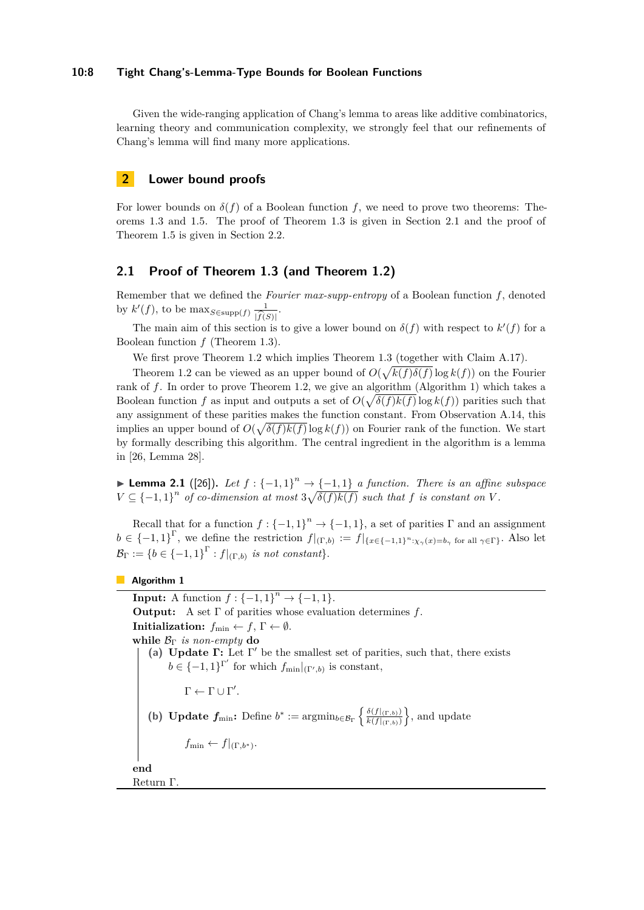#### **10:8 Tight Chang's-Lemma-Type Bounds for Boolean Functions**

Given the wide-ranging application of Chang's lemma to areas like additive combinatorics, learning theory and communication complexity, we strongly feel that our refinements of Chang's lemma will find many more applications.

# **2 Lower bound proofs**

For lower bounds on  $\delta(f)$  of a Boolean function *f*, we need to prove two theorems: Theorems [1.3](#page-3-3) and [1.5.](#page-5-0) The proof of Theorem [1.3](#page-3-3) is given in Section [2.1](#page-7-0) and the proof of Theorem [1.5](#page-5-0) is given in Section [2.2.](#page-11-1)

# <span id="page-7-0"></span>**2.1 Proof of Theorem [1.3](#page-3-3) (and Theorem [1.2\)](#page-3-2)**

Remember that we defined the *Fourier max-supp-entropy* of a Boolean function *f*, denoted by  $k'(f)$ , to be  $\max_{S \in \text{supp}(f)} \frac{1}{\widehat{k}(S)}$ .

The main aim of this section is to give a lower bound on  $\delta(f)$  with respect to  $k'(f)$  for a Boolean function *f* (Theorem [1.3\)](#page-3-3).

We first prove Theorem [1.2](#page-3-2) which implies Theorem [1.3](#page-3-3) (together with Claim [A.17\)](#page-20-1).

Theorem [1.2](#page-3-2) can be viewed as an upper bound of  $O(\sqrt{k(f)\delta(f)})$  log  $k(f)$ ) on the Fourier rank of f. In order to prove Theorem [1.2,](#page-3-2) we give an algorithm (Algorithm [1\)](#page-7-1) which takes a Boolean function *f* as input and outputs a set of  $O(\sqrt{\delta(f)k(f)}\log k(f))$  parities such that any assignment of these parities makes the function constant. From Observation [A.14,](#page-19-2) this implies an upper bound of  $O(\sqrt{\delta(f)k(f)})$  log  $k(f)$ ) on Fourier rank of the function. We start by formally describing this algorithm. The central ingredient in the algorithm is a lemma in [\[26,](#page-17-0) Lemma 28].

▶ **Lemma 2.1** ([\[26\]](#page-17-0)). Let  $f : \{-1,1\}^n \rightarrow \{-1,1\}$  a function. There is an affine subspace  $V \subseteq \{-1,1\}^n$  of co-dimension at most  $3\sqrt{\delta(f)k(f)}$  such that f is constant on V.

Recall that for a function  $f: \{-1,1\}^n \to \{-1,1\}$ , a set of parities  $\Gamma$  and an assignment  $b \in \{-1,1\}^{\Gamma}$ , we define the restriction  $f|_{(\Gamma,b)} := f|_{\{x \in \{-1,1\}^n : \chi_{\gamma}(x) = b_{\gamma} \text{ for all } \gamma \in \Gamma\}}$ . Also let  $\mathcal{B}_{\Gamma} := \{b \in \{-1,1\}^{\Gamma} : f|_{(\Gamma,b)} \text{ is not constant}\}.$ 

<span id="page-7-1"></span>**Algorithm 1**

<span id="page-7-3"></span><span id="page-7-2"></span>**Input:** A function  $f: {-1, 1}^n → {-1, 1}.$ **Output:** A set Γ of parities whose evaluation determines *f*. **Initialization:**  $f_{\min} \leftarrow f$ ,  $\Gamma \leftarrow \emptyset$ . **while**  $\mathcal{B}_{\Gamma}$  *is non-empty* **do (a) Update Γ:** Let Γ ′ be the smallest set of parities, such that, there exists  $b \in \{-1, 1\}^{\Gamma'}$  for which  $f_{\min}|_{(\Gamma', b)}$  is constant,  $\Gamma \leftarrow \Gamma \cup \Gamma'.$ **(b) Update**  $f_{\min}$ : Define  $b^* := \operatorname{argmin}_{b \in \mathcal{B}_{\Gamma}} \left\{ \frac{\delta(f|_{(\Gamma,b)})}{k(f|_{(\Gamma,b)})} \right\}$  $\frac{\delta(f|_{(\Gamma,b)})}{k(f|_{(\Gamma,b)})}$ , and update  $f_{\min} \leftarrow f|_{(\Gamma, b^*)}$ . **end** Return Γ.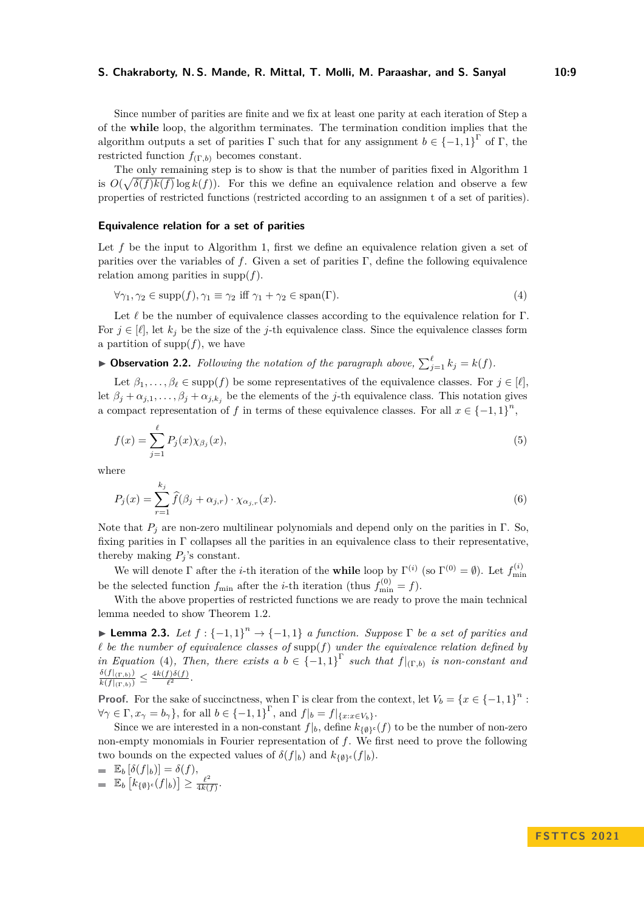Since number of parities are finite and we fix at least one parity at each iteration of Step [a](#page-7-2) of the **while** loop, the algorithm terminates. The termination condition implies that the algorithm outputs a set of parities  $\Gamma$  such that for any assignment  $b \in \{-1,1\}^{\Gamma}$  of  $\Gamma$ , the restricted function  $f_{(\Gamma,b)}$  becomes constant.

The only remaining step is to show is that the number of parities fixed in Algorithm [1](#page-7-1) is  $O(\sqrt{\delta(f)k(f)})$  log  $k(f)$ ). For this we define an equivalence relation and observe a few properties of restricted functions (restricted according to an assignmen t of a set of parities).

#### **Equivalence relation for a set of parities**

Let f be the input to Algorithm [1,](#page-7-1) first we define an equivalence relation given a set of parities over the variables of  $f$ . Given a set of parities  $\Gamma$ , define the following equivalence relation among parities in supp $(f)$ .

<span id="page-8-0"></span>
$$
\forall \gamma_1, \gamma_2 \in \text{supp}(f), \gamma_1 \equiv \gamma_2 \text{ iff } \gamma_1 + \gamma_2 \in \text{span}(\Gamma). \tag{4}
$$

Let *ℓ* be the number of equivalence classes according to the equivalence relation for Γ. For  $j \in [\ell]$ , let  $k_j$  be the size of the *j*-th equivalence class. Since the equivalence classes form a partition of  $\text{supp}(f)$ , we have

<span id="page-8-3"></span>▶ **Observation 2.2.** *Following the notation of the paragraph above,*  $\sum_{j=1}^{\ell} k_j = k(f)$ *.* 

Let  $\beta_1, \ldots, \beta_\ell \in \text{supp}(f)$  be some representatives of the equivalence classes. For  $j \in [\ell],$ let  $\beta_j + \alpha_{j,1}, \ldots, \beta_j + \alpha_{j,k}$  be the elements of the *j*-th equivalence class. This notation gives a compact representation of *f* in terms of these equivalence classes. For all  $x \in \{-1,1\}^n$ ,

<span id="page-8-1"></span>
$$
f(x) = \sum_{j=1}^{\ell} P_j(x) \chi_{\beta_j}(x),\tag{5}
$$

where

<span id="page-8-2"></span>
$$
P_j(x) = \sum_{r=1}^{k_j} \widehat{f}(\beta_j + \alpha_{j,r}) \cdot \chi_{\alpha_{j,r}}(x).
$$
\n(6)

Note that  $P_i$  are non-zero multilinear polynomials and depend only on the parities in  $\Gamma$ . So, fixing parities in Γ collapses all the parities in an equivalence class to their representative, thereby making  $P_i$ 's constant.

We will denote  $\Gamma$  after the *i*-th iteration of the **while** loop by  $\Gamma^{(i)}$  (so  $\Gamma^{(0)} = \emptyset$ ). Let  $f_{\min}^{(i)}$ be the selected function  $f_{\min}$  after the *i*-th iteration (thus  $f_{\min}^{(0)} = f$ ).

With the above properties of restricted functions we are ready to prove the main technical lemma needed to show Theorem [1.2.](#page-3-2)

<span id="page-8-4"></span>**► Lemma 2.3.** Let  $f: {-1, 1}^n \rightarrow {-1, 1}$  a function. Suppose  $\Gamma$  be a set of parities and *ℓ be the number of equivalence classes of* supp(*f*) *under the equivalence relation defined by in Equation* [\(4\)](#page-8-0), Then, there exists a  $b \in \{-1,1\}^{\Gamma}$  such that  $f|_{(\Gamma,b)}$  is non-constant and  $\frac{\delta(f|_{(\Gamma,b)})}{k(f|_{(\Gamma,b)})} \leq \frac{4k(f)\delta(f)}{\ell^2}$  $\frac{f}{\ell^2}$ .

**Proof.** For the sake of succinctness, when  $\Gamma$  is clear from the context, let  $V_b = \{x \in \{-1,1\}^n :$  $\forall \gamma \in \Gamma, x_{\gamma} = b_{\gamma}$ , for all  $b \in \{-1, 1\}^{\Gamma}$ , and  $f|_{b} = f|_{\{x: x \in V_{b}\}}$ .

Since we are interested in a non-constant  $f|_b$ , define  $k_{\{\emptyset\}^c}(f)$  to be the number of non-zero non-empty monomials in Fourier representation of *f*. We first need to prove the following two bounds on the expected values of  $\delta(f|_b)$  and  $k_{\{\emptyset\}^c}(f|_b)$ .

$$
\begin{array}{ll} & \mathbb{E}_b\left[\delta(f|_b)\right] = \delta(f), \\ & \mathbb{E}_b\left[k_{\{\emptyset\}^c}(f|_b)\right] \ge \frac{\ell^2}{4k(f)}. \end{array}
$$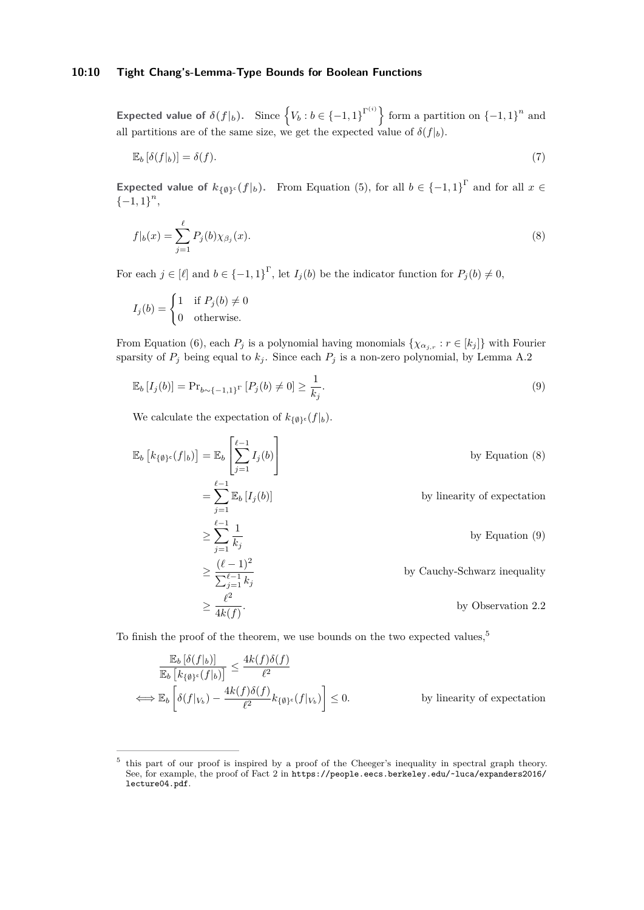## **10:10 Tight Chang's-Lemma-Type Bounds for Boolean Functions**

**Expected value of**  $\delta(f|_b)$ . Since  $\{V_b : b \in \{-1,1\}^{\Gamma^{(i)}}\}$  form a partition on  $\{-1,1\}^n$  and all partitions are of the same size, we get the expected value of  $\delta(f|_b)$ .

$$
\mathbb{E}_b\left[\delta(f|_b)\right] = \delta(f). \tag{7}
$$

**Expected value of**  $k_{\{\emptyset\}^c}(f|_b)$ . From Equation [\(5\)](#page-8-1), for all  $b \in \{-1,1\}^{\Gamma}$  and for all  $x \in$  ${-1, 1}^n$ 

<span id="page-9-0"></span>
$$
f|_b(x) = \sum_{j=1}^{\ell} P_j(b)\chi_{\beta_j}(x).
$$
 (8)

For each  $j \in [\ell]$  and  $b \in \{-1,1\}^{\Gamma}$ , let  $I_j(b)$  be the indicator function for  $P_j(b) \neq 0$ ,

$$
I_j(b) = \begin{cases} 1 & \text{if } P_j(b) \neq 0 \\ 0 & \text{otherwise.} \end{cases}
$$

From Equation [\(6\)](#page-8-2), each  $P_j$  is a polynomial having monomials  $\{\chi_{\alpha_j,r}:r\in[k_j]\}$  with Fourier sparsity of  $P_j$  being equal to  $k_j$ . Since each  $P_j$  is a non-zero polynomial, by Lemma [A.2](#page-17-3)

<span id="page-9-1"></span>
$$
\mathbb{E}_b [I_j(b)] = \Pr_{b \sim \{-1,1\}^{\Gamma}} [P_j(b) \neq 0] \ge \frac{1}{k_j}.
$$
\n(9)

We calculate the expectation of  $k_{\{\emptyset\}^c}(f|_b)$ .

$$
\mathbb{E}_{b}\left[k_{\{\emptyset\}^c}(f|_{b})\right] = \mathbb{E}_{b}\left[\sum_{j=1}^{\ell-1}I_{j}(b)\right]
$$
by Equation (8)  
\n
$$
= \sum_{j=1}^{\ell-1}\mathbb{E}_{b}\left[I_{j}(b)\right]
$$
by linearity of expectation  
\n
$$
\geq \sum_{j=1}^{\ell-1}\frac{1}{k_{j}}
$$
by Equation (9)  
\n
$$
\geq \frac{(\ell-1)^2}{\sum_{j=1}^{\ell-1}k_{j}}
$$
by Cauchy-Schwarz inequality  
\n
$$
\geq \frac{\ell^2}{4k(f)}.
$$
by Observation 2.2

To finish the proof of the theorem, we use bounds on the two expected values,<sup>[5](#page-9-2)</sup>

$$
\frac{\mathbb{E}_b\left[\delta(f|_b)\right]}{\mathbb{E}_b\left[k_{\{\emptyset\}^c}(f|_b)\right]} \le \frac{4k(f)\delta(f)}{\ell^2}
$$
\n
$$
\iff \mathbb{E}_b\left[\delta(f|_{V_b}) - \frac{4k(f)\delta(f)}{\ell^2}k_{\{\emptyset\}^c}(f|_{V_b})\right] \le 0.
$$
\nby linearity of expectation

<span id="page-9-2"></span><sup>5</sup> this part of our proof is inspired by a proof of the Cheeger's inequality in spectral graph theory. See, for example, the proof of Fact 2 in [https://people.eecs.berkeley.edu/~luca/expanders2016/](https://people.eecs.berkeley.edu/~luca/expanders2016/lecture04.pdf) [lecture04.pdf](https://people.eecs.berkeley.edu/~luca/expanders2016/lecture04.pdf).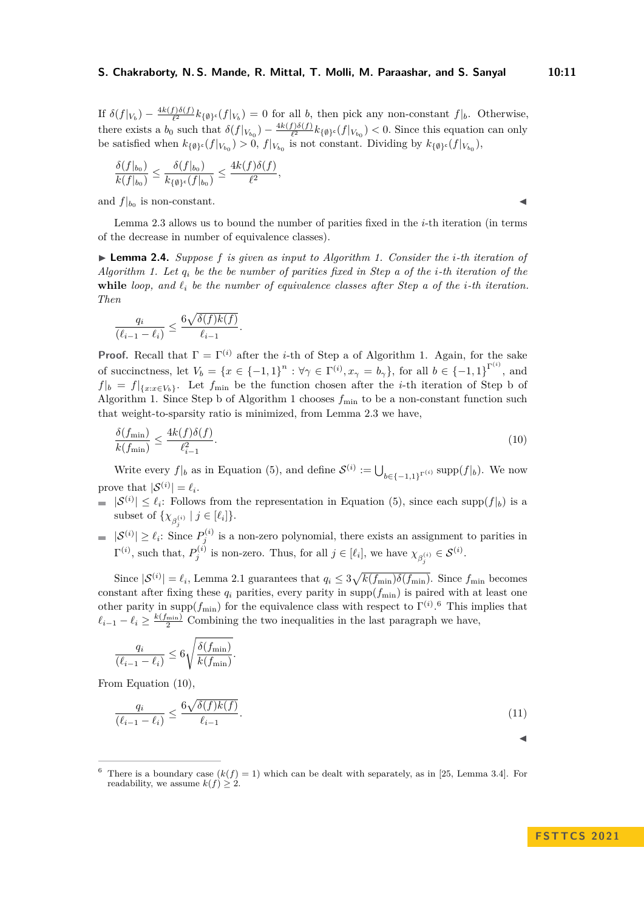If  $\delta(f|_{V_b}) - \frac{4k(f)\delta(f)}{\ell^2}$  $\frac{f(x)}{f(x)} k_{\{\emptyset\}^c}(f|_{V_b}) = 0$  for all *b*, then pick any non-constant  $f|_b$ . Otherwise, there exists a *b*<sub>0</sub> such that  $\delta(f|_{V_{b_0}}) - \frac{4k(f)\delta(f)}{\ell^2}$  $\frac{f}{\ell^2}h_{\ell}(\theta) \cdot (f|_{V_{b_0}}) < 0$ . Since this equation can only be satisfied when  $k_{\{\emptyset\}^c}(f|_{V_{b_0}}) > 0$ ,  $f|_{V_{b_0}}$  is not constant. Dividing by  $k_{\{\emptyset\}^c}(f|_{V_{b_0}})$ ,

$$
\frac{\delta(f|_{b_0})}{k(f|_{b_0})}\leq \frac{\delta(f|_{b_0})}{k_{\{\emptyset\}^{\mathsf{c}}}(f|_{b_0})}\leq \frac{4k(f)\delta(f)}{\ell^2},
$$

and  $f|_{b_0}$  is non-constant.

Lemma [2.3](#page-8-4) allows us to bound the number of parities fixed in the *i*-th iteration (in terms of the decrease in number of equivalence classes).

▶ **Lemma 2.4.** *Suppose f is given as input to Algorithm [1.](#page-7-1) Consider the i-th iteration of Algorithm [1.](#page-7-1) Let q<sup>i</sup> be the be number of parities fixed in Step [a](#page-7-2) of the i-th iteration of the* **while** *loop, and ℓ<sup>i</sup> be the number of equivalence classes after Step [a](#page-7-2) of the i-th iteration. Then*

$$
\frac{q_i}{(\ell_{i-1} - \ell_i)} \le \frac{6\sqrt{\delta(f)k(f)}}{\ell_{i-1}}.
$$

**Proof.** Recall that  $\Gamma = \Gamma^{(i)}$  [a](#page-7-2)fter the *i*-th of Step a of Algorithm [1.](#page-7-1) Again, for the sake of succinctness, let  $V_b = \{x \in \{-1,1\}^n : \forall \gamma \in \Gamma^{(i)}, x_\gamma = b_\gamma\}$ , for all  $b \in \{-1,1\}^{\Gamma^{(i)}},$  and  $f|_b = f|_{\{x: x \in V_b\}}$ . Let  $f_{\min}$  [b](#page-7-3)e the function chosen after the *i*-th iteration of Step b of Algorithm [1.](#page-7-1) Since Step [b](#page-7-3) of Algorithm [1](#page-7-1) chooses  $f_{\text{min}}$  to be a non-constant function such that weight-to-sparsity ratio is minimized, from Lemma [2.3](#page-8-4) we have,

$$
\frac{\delta(f_{\min})}{k(f_{\min})} \le \frac{4k(f)\delta(f)}{\ell_{i-1}^2}.\tag{10}
$$

Write every  $f|_b$  as in Equation [\(5\)](#page-8-1), and define  $\mathcal{S}^{(i)} := \bigcup_{b \in \{-1,1\}^{\Gamma^{(i)}}} \text{supp}(f|_b)$ . We now prove that  $|\mathcal{S}^{(i)}| = \ell_i$ .

- $|\mathcal{S}^{(i)}| \leq \ell_i$ : Follows from the representation in Equation [\(5\)](#page-8-1), since each supp $(f|_b)$  is a subset of  $\{\chi_{\beta_i^{(i)}} \mid j \in [\ell_i]\}.$
- $|\mathcal{S}^{(i)}| \geq \ell_i$ : Since  $P_j^{(i)}$  is a non-zero polynomial, there exists an assignment to parities in  $\Gamma^{(i)}$ , such that,  $P_j^{(i)}$  is non-zero. Thus, for all  $j \in [\ell_i]$ , we have  $\chi_{\beta_j^{(i)}} \in \mathcal{S}^{(i)}$ .

Since  $|\mathcal{S}^{(i)}| = \ell_i$ , Lemma [2.1](#page-1-2) guarantees that  $q_i \leq 3\sqrt{k(f_{\min})\delta(f_{\min})}$ . Since  $f_{\min}$  becomes constant after fixing these  $q_i$  parities, every parity in supp $(f_{\min})$  is paired with at least one other parity in supp $(f_{\min})$  for the equivalence class with respect to  $\Gamma^{(i)}$ .<sup>[6](#page-10-0)</sup> This implies that  $\ell_{i-1} - \ell_i \geq \frac{k(f_{\min})}{2}$  Combining the two inequalities in the last paragraph we have,

$$
\frac{q_i}{(\ell_{i-1}-\ell_i)} \leq 6\sqrt{\frac{\delta(f_{\min})}{k(f_{\min})}}.
$$

From Equation [\(10\)](#page-10-1),

$$
\frac{q_i}{(\ell_{i-1} - \ell_i)} \le \frac{6\sqrt{\delta(f)k(f)}}{\ell_{i-1}}.\tag{11}
$$

<span id="page-10-0"></span>

|                                        | <sup>6</sup> There is a boundary case $(k(f) = 1)$ which can be dealt with separately, as in [25, Lemma 3.4]. For |
|----------------------------------------|-------------------------------------------------------------------------------------------------------------------|
| readability, we assume $k(f) \geq 2$ . |                                                                                                                   |

<span id="page-10-1"></span>◀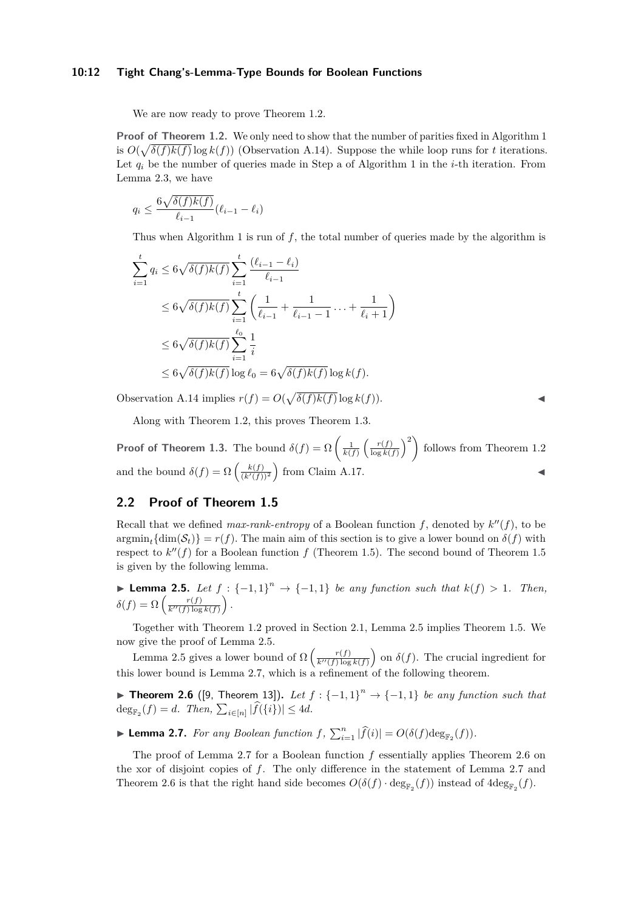#### **10:12 Tight Chang's-Lemma-Type Bounds for Boolean Functions**

We are now ready to prove Theorem [1.2.](#page-3-2)

**Proof of Theorem [1.2.](#page-3-2)** We only need to show that the number of parities fixed in Algorithm [1](#page-7-1) is  $O(\sqrt{\delta(f)k(f)}\log k(f))$  (Observation [A.14\)](#page-19-2). Suppose the while loop runs for *t* iterations. Let  $q_i$  be the number of queries made in Step [a](#page-7-2) of Algorithm [1](#page-7-1) in the *i*-th iteration. From Lemma [2.3,](#page-8-4) we have

$$
q_i \le \frac{6\sqrt{\delta(f)k(f)}}{\ell_{i-1}}(\ell_{i-1} - \ell_i)
$$

Thus when Algorithm [1](#page-7-1) is run of *f*, the total number of queries made by the algorithm is

$$
\sum_{i=1}^{t} q_i \le 6\sqrt{\delta(f)k(f)} \sum_{i=1}^{t} \frac{(\ell_{i-1} - \ell_i)}{\ell_{i-1}} \n\le 6\sqrt{\delta(f)k(f)} \sum_{i=1}^{t} \left( \frac{1}{\ell_{i-1}} + \frac{1}{\ell_{i-1} - 1} + \frac{1}{\ell_i + 1} \right) \n\le 6\sqrt{\delta(f)k(f)} \sum_{i=1}^{\ell_0} \frac{1}{i} \n\le 6\sqrt{\delta(f)k(f)} \log \ell_0 = 6\sqrt{\delta(f)k(f)} \log k(f).
$$

Observation [A.14](#page-19-2) implies  $r(f) = O(\sqrt{\delta(f)k(f)} \log k(f)).$ 

Along with Theorem [1.2,](#page-3-2) this proves Theorem [1.3.](#page-3-3)

**Proof of Theorem [1.3.](#page-3-3)** The bound  $\delta(f) = \Omega\left(\frac{1}{k(f)}\left(\frac{r(f)}{\log k(f)}\right)\right)$  $\left(\frac{r(f)}{\log k(f)}\right)^2$  follows from Theorem [1.2](#page-3-2) and the bound  $\delta(f) = \Omega\left(\frac{k(f)}{(k'(f))^2}\right)$  from Claim [A.17.](#page-20-1)

# <span id="page-11-1"></span>**2.2 Proof of Theorem [1.5](#page-5-0)**

Recall that we defined  $max-rank-entropy$  of a Boolean function  $f$ , denoted by  $k''(f)$ , to be  $\arg\min_{f} {\dim(\mathcal{S}_t)} = r(f)$ . The main aim of this section is to give a lower bound on  $\delta(f)$  with respect to  $k''(f)$  for a Boolean function  $f$  (Theorem [1.5\)](#page-5-0). The second bound of Theorem [1.5](#page-5-0) is given by the following lemma.

<span id="page-11-0"></span>▶ **Lemma 2.5.** *Let*  $f : \{-1,1\}^n \rightarrow \{-1,1\}$  *be any function such that*  $k(f) > 1$ *. Then,*  $\delta(f) = \Omega\left(\frac{r(f)}{k''(f)\log k(f)}\right).$ 

Together with Theorem [1.2](#page-3-2) proved in Section [2.1,](#page-7-0) Lemma [2.5](#page-11-0) implies Theorem [1.5.](#page-5-0) We now give the proof of Lemma [2.5.](#page-11-0)

Lemma [2.5](#page-11-0) gives a lower bound of  $\Omega\left(\frac{r(f)}{k''(f)\log k(f)}\right)$  on  $\delta(f)$ . The crucial ingredient for this lower bound is Lemma [2.7,](#page-11-2) which is a refinement of the following theorem.

▶ **Theorem 2.6** ([\[9,](#page-16-19) Theorem 13]). Let  $f : \{-1,1\}^n \rightarrow \{-1,1\}$  be any function such that  $\deg_{\mathbb{F}_2}(f) = d$ . Then,  $\sum_{i \in [n]} |f(\{i\})| \leq 4d$ .

<span id="page-11-2"></span>▶ **Lemma 2.7.** *For any Boolean function*  $f$ *,*  $\sum_{i=1}^{n} |\widehat{f}(i)| = O(\delta(f) \deg_{\mathbb{F}_2}(f)).$ 

The proof of Lemma [2.7](#page-11-2) for a Boolean function *f* essentially applies Theorem [2.6](#page-5-1) on the xor of disjoint copies of *f*. The only difference in the statement of Lemma [2.7](#page-11-2) and Theorem [2.6](#page-5-1) is that the right hand side becomes  $O(\delta(f) \cdot \deg_{\mathbb{F}_2}(f))$  instead of  $4\deg_{\mathbb{F}_2}(f)$ .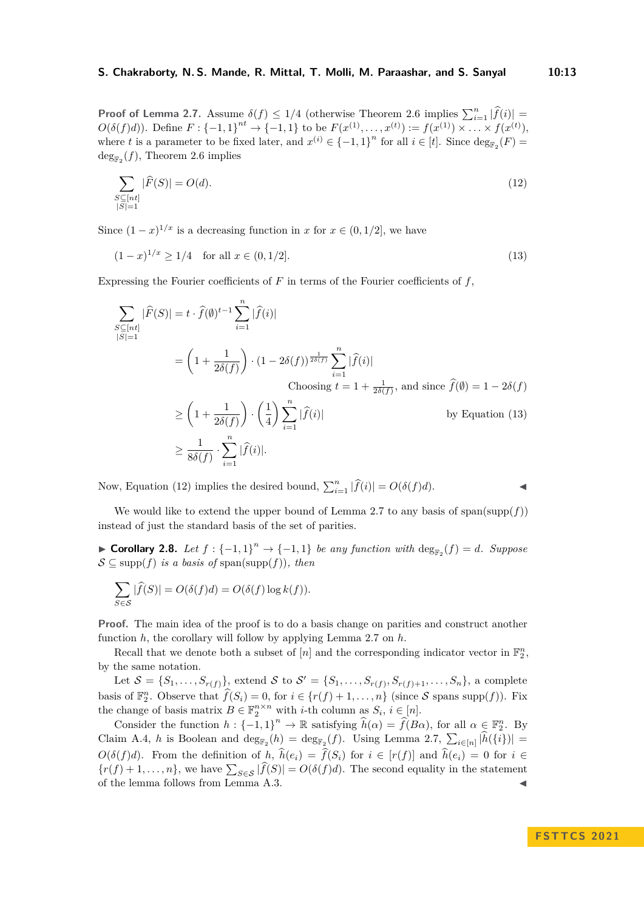**Proof of Lemma [2.7.](#page-11-2)** Assume  $\delta(f) \leq 1/4$  (otherwise Theorem [2.6](#page-5-1) implies  $\sum_{i=1}^{n} |\hat{f}(i)| =$  $O(\delta(f)d)$ . Define  $F: \{-1,1\}^{nt} \to \{-1,1\}$  to be  $F(x^{(1)},...,x^{(t)}) := f(x^{(1)}) \times ... \times f(x^{(t)})$ , where *t* is a parameter to be fixed later, and  $x^{(i)} \in \{-1,1\}^n$  for all  $i \in [t]$ . Since  $\deg_{\mathbb{F}_2}(F) =$  $\deg_{\mathbb{F}_2}(f)$ , Theorem [2.6](#page-5-1) implies

<span id="page-12-1"></span>
$$
\sum_{\substack{S \subseteq [nt] \\ |S| = 1}} |\widehat{F}(S)| = O(d). \tag{12}
$$

Since  $(1-x)^{1/x}$  is a decreasing function in *x* for  $x \in (0,1/2]$ , we have

$$
(1-x)^{1/x} \ge 1/4 \quad \text{for all } x \in (0, 1/2]. \tag{13}
$$

Expressing the Fourier coefficients of *F* in terms of the Fourier coefficients of *f*,

$$
\sum_{\substack{S \subseteq [nt] \\ |S| = 1}} |\widehat{F}(S)| = t \cdot \widehat{f}(\emptyset)^{t-1} \sum_{i=1}^{n} |\widehat{f}(i)|
$$
\n
$$
= \left(1 + \frac{1}{2\delta(f)}\right) \cdot (1 - 2\delta(f))^{\frac{1}{2\delta(f)}} \sum_{i=1}^{n} |\widehat{f}(i)|
$$
\n
$$
\text{Choosing } t = 1 + \frac{1}{2\delta(f)}, \text{ and since } \widehat{f}(\emptyset) = 1 - 2\delta(f)
$$
\n
$$
\ge \left(1 + \frac{1}{2\delta(f)}\right) \cdot \left(\frac{1}{4}\right) \sum_{i=1}^{n} |\widehat{f}(i)| \qquad \text{by Equation (13)}
$$

<span id="page-12-0"></span>
$$
\geq \left(1 + \frac{1}{2\delta(f)}\right) \cdot \left(\frac{1}{4}\right) \sum_{i=1}^{\infty} |\widehat{f}(i)| \qquad \text{by Equation (13)}
$$

$$
\geq \frac{1}{8\delta(f)} \cdot \sum_{i=1}^{n} |\widehat{f}(i)|.
$$

Now, Equation [\(12\)](#page-12-1) implies the desired bound,  $\sum_{i=1}^{n} |\hat{f}(i)| = O(\delta(f)d)$ .

We would like to extend the upper bound of Lemma [2.7](#page-11-2) to any basis of  $\text{span}(\text{supp}(f))$ instead of just the standard basis of the set of parities.

<span id="page-12-2"></span>▶ **Corollary 2.8.** *Let*  $f: \{-1, 1\}$ <sup>n</sup>  $\rightarrow \{-1, 1\}$  *be any function with*  $\deg_{\mathbb{F}_2}(f) = d$ *. Suppose*  $\mathcal{S} \subseteq \text{supp}(f)$  *is a basis of* span(supp(f)), then

$$
\sum_{S \in \mathcal{S}} |\widehat{f}(S)| = O(\delta(f)d) = O(\delta(f) \log k(f)).
$$

**Proof.** The main idea of the proof is to do a basis change on parities and construct another function *h*, the corollary will follow by applying Lemma [2.7](#page-11-2) on *h*.

Recall that we denote both a subset of  $[n]$  and the corresponding indicator vector in  $\mathbb{F}_2^n$ , by the same notation.

Let  $S = \{S_1, \ldots, S_{r(f)}\}$ , extend S to  $S' = \{S_1, \ldots, S_{r(f)}, S_{r(f)+1}, \ldots, S_n\}$ , a complete basis of  $\mathbb{F}_2^n$ . Observe that  $\widehat{f}(S_i) = 0$ , for  $i \in \{r(f) + 1, \ldots, n\}$  (since S spans supp(f)). Fix the change of basis matrix  $B \in \mathbb{F}_2^{n \times n}$  with *i*-th column as  $S_i$ ,  $i \in [n]$ .

Consider the function  $h: \{-1,1\}^n \to \mathbb{R}$  satisfying  $\hat{h}(\alpha) = \hat{f}(B\alpha)$ , for all  $\alpha \in \mathbb{F}_2^n$ . By Claim [A.4,](#page-18-0) *h* is Boolean and  $\deg_{\mathbb{F}_2}(h) = \deg_{\mathbb{F}_2}(f)$ . Using Lemma [2.7,](#page-11-2)  $\sum_{i \in [n]} |h(\{i\})| =$ *O*( $\delta(f)d$ ). From the definition of *h*,  $\hat{h}(e_i) = \hat{f}(S_i)$  for  $i \in [r(f)]$  and  $\hat{h}(e_i) = 0$  for  $i \in$  ${r(f) + 1, ..., n}$ , we have  $\sum_{S \in \mathcal{S}} |f(S)| = O(\delta(f)d)$ . The second equality in the statement of the lemma follows from Lemma [A.3.](#page-8-4)

**F S T T C S 2 0 2 1**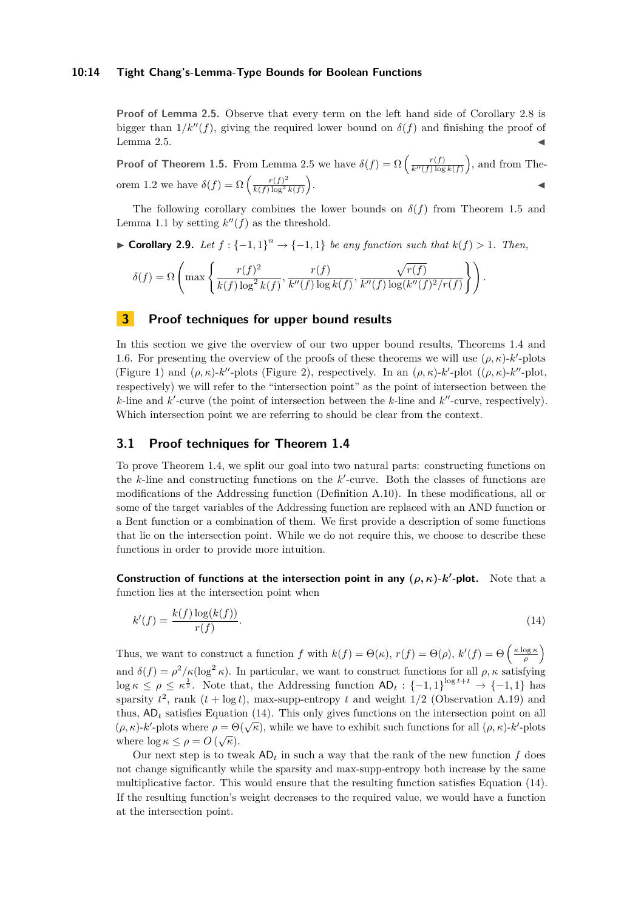#### **10:14 Tight Chang's-Lemma-Type Bounds for Boolean Functions**

**Proof of Lemma [2.5.](#page-11-0)** Observe that every term on the left hand side of Corollary [2.8](#page-12-2) is bigger than  $1/k''(f)$ , giving the required lower bound on  $\delta(f)$  and finishing the proof of Lemma [2.5.](#page-11-0)  $\blacktriangleleft$ 

**Proof of Theorem [1.5.](#page-5-0)** From Lemma [2.5](#page-11-0) we have  $\delta(f) = \Omega\left(\frac{r(f)}{k''(f)\log k(f)}\right)$ , and from The-orem [1.2](#page-3-2) we have  $\delta(f) = \Omega \left( \frac{r(f)^2}{k(f) \log^2} \right)$  $\frac{r(f)^2}{k(f)\log^2 k(f)}$ . ◀

The following corollary combines the lower bounds on  $\delta(f)$  from Theorem [1.5](#page-5-0) and Lemma [1.1](#page-1-2) by setting  $k''(f)$  as the threshold.

▶ **Corollary 2.9.** *Let*  $f: \{-1, 1\}^n \rightarrow \{-1, 1\}$  *be any function such that*  $k(f) > 1$ *. Then,* 

$$
\delta(f) = \Omega\left(\max\left\{\frac{r(f)^2}{k(f)\log^2 k(f)}, \frac{r(f)}{k''(f)\log k(f)}, \frac{\sqrt{r(f)}}{k''(f)\log(k''(f)^2/r(f)}\right\}\right).
$$

# <span id="page-13-1"></span>**3 Proof techniques for upper bound results**

In this section we give the overview of our two upper bound results, Theorems [1.4](#page-4-0) and [1.6.](#page-5-1) For presenting the overview of the proofs of these theorems we will use  $(\rho, \kappa)$ -*k*'-plots (Figure [1\)](#page-4-1) and  $(\rho, \kappa)$ -*k*"-plots (Figure [2\)](#page-6-1), respectively. In an  $(\rho, \kappa)$ -*k*'-plot  $((\rho, \kappa)$ -*k*"-plot, respectively) we will refer to the "intersection point" as the point of intersection between the *k*-line and *k*'-curve (the point of intersection between the *k*-line and *k*"-curve, respectively). Which intersection point we are referring to should be clear from the context.

# **3.1 Proof techniques for Theorem [1.4](#page-4-0)**

To prove Theorem [1.4,](#page-4-0) we split our goal into two natural parts: constructing functions on the  $k$ -line and constructing functions on the  $k'$ -curve. Both the classes of functions are modifications of the Addressing function (Definition [A.10\)](#page-18-1). In these modifications, all or some of the target variables of the Addressing function are replaced with an AND function or a Bent function or a combination of them. We first provide a description of some functions that lie on the intersection point. While we do not require this, we choose to describe these functions in order to provide more intuition.

**Construction of functions at the intersection point in any**  $(\rho, \kappa)$ **-** $k'$ **-plot. Note that a** function lies at the intersection point when

<span id="page-13-0"></span>
$$
k'(f) = \frac{k(f)\log(k(f))}{r(f)}.\tag{14}
$$

Thus, we want to construct a function *f* with  $k(f) = \Theta(\kappa)$ ,  $r(f) = \Theta(\rho)$ ,  $k'(f) = \Theta\left(\frac{\kappa \log \kappa}{\rho}\right)$ and  $\delta(f) = \rho^2/\kappa(\log^2 \kappa)$ . In particular, we want to construct functions for all  $\rho, \kappa$  satisfying  $\log \kappa \leq \rho \leq \kappa^{\frac{1}{2}}$ . Note that, the Addressing function  $AD_t: \{-1,1\}^{\log t+t} \to \{-1,1\}$  has sparsity  $t^2$ , rank  $(t + \log t)$ , max-supp-entropy  $t$  and weight  $1/2$  (Observation [A.19\)](#page-20-2) and thus, AD*<sup>t</sup>* satisfies Equation [\(14\)](#page-13-0). This only gives functions on the intersection point on all (*ρ, κ*)-*k*'-plots where  $\rho = \Theta(\sqrt{\kappa})$ , while we have to exhibit such functions for all  $(\rho, \kappa)$ -*k*'-plots where  $\log \kappa \leq \rho = O(\sqrt{\kappa}).$ 

Our next step is to tweak  $AD_t$  in such a way that the rank of the new function  $f$  does not change significantly while the sparsity and max-supp-entropy both increase by the same multiplicative factor. This would ensure that the resulting function satisfies Equation [\(14\)](#page-13-0). If the resulting function's weight decreases to the required value, we would have a function at the intersection point.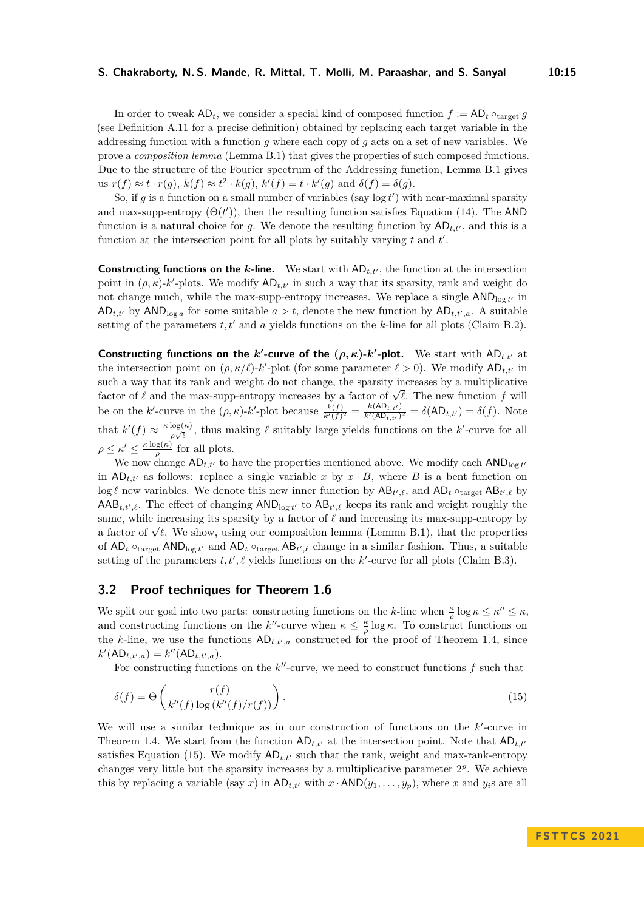In order to tweak  $AD_t$ , we consider a special kind of composed function  $f := AD_t \circ_{\text{target}} g$ (see Definition [A.11](#page-19-3) for a precise definition) obtained by replacing each target variable in the addressing function with a function *g* where each copy of *g* acts on a set of new variables. We prove a *composition lemma* (Lemma [B.1\)](#page-1-2) that gives the properties of such composed functions. Due to the structure of the Fourier spectrum of the Addressing function, Lemma [B.1](#page-1-2) gives  $u$ **s**  $r(f) \approx t \cdot r(g), k(f) \approx t^2 \cdot k(g), k'(f) = t \cdot k'(g)$  and  $\delta(f) = \delta(g)$ .

So, if  $g$  is a function on a small number of variables (say  $\log t'$ ) with near-maximal sparsity and max-supp-entropy  $(\Theta(t'))$ , then the resulting function satisfies Equation [\(14\)](#page-13-0). The AND function is a natural choice for *g*. We denote the resulting function by  $AD_{t,t'}$ , and this is a function at the intersection point for all plots by suitably varying *t* and *t* ′ .

**Constructing functions on the**  $k$ **-line.** We start with  $AD_{t,t'}$ , the function at the intersection point in  $(\rho, \kappa)$ -*k*'-plots. We modify  $AD_{t,t'}$  in such a way that its sparsity, rank and weight do not change much, while the max-supp-entropy increases. We replace a single  $AND_{log t'}$  in  $AD_{t,t'}$  by  $AND_{\log a}$  for some suitable  $a > t$ , denote the new function by  $AD_{t,t',a}$ . A suitable setting of the parameters  $t, t'$  and  $a$  yields functions on the  $k$ -line for all plots (Claim [B.2\)](#page-21-0).

**Constructing functions on the** *k***'-curve of the**  $(\rho, \kappa)$ **-***k***'-plot. We start with AD<sub>t,t'</sub> at** the intersection point on  $(\rho, \kappa/\ell)$ -*k'*-plot (for some parameter  $\ell > 0$ ). We modify  $AD_{t,t'}$  in such a way that its rank and weight do not change, the sparsity increases by a multiplicative such a way that its rank and weight do not change, the sparsity increases by a multiplicative factor of  $\ell$  and the max-supp-entropy increases by a factor of  $\sqrt{\ell}$ . The new function f will be on the *k*'-curve in the  $(\rho, \kappa)$ -*k*'-plot because  $\frac{k(f)}{k'(f)^2} = \frac{k(\mathsf{AD}_{t,t'})}{k'(\mathsf{AD}_{t,t'})}$  $\frac{k(AB_{t,t'})}{k'(AD_{t,t'})^2} = \delta(AD_{t,t'}) = \delta(f)$ . Note that  $k'(f) \approx \frac{\kappa \log(\kappa)}{\kappa \sqrt{\ell}}$  $\frac{\log(\kappa)}{\rho\sqrt{\ell}}$ , thus making  $\ell$  suitably large yields functions on the *k*'-curve for all *ρ*  $\leq$  *κ'*  $\leq \frac{\kappa \log(\kappa)}{a}$  $\frac{\log(\kappa)}{\rho}$  for all plots.

We now change  $AD_{t,t'}$  to have the properties mentioned above. We modify each  $AND_{\log t'}$ in  $AD_{t,t'}$  as follows: replace a single variable x by  $x \cdot B$ , where B is a bent function on  $\log \ell$  new variables. We denote this new inner function by  $AB_{t',\ell}$ , and  $AD_t \circ_{\text{target}} AB_{t',\ell}$  by  $\mathsf{AAB}_{t,t',\ell}$ . The effect of changing  $\mathsf{AND}_{\log t'}$  to  $\mathsf{AB}_{t',\ell}$  keeps its rank and weight roughly the same, while increasing its sparsity by a factor of *ℓ* and increasing its max-supp-entropy by same, while increasing its sparsity by a factor of  $\ell$  and increasing its max-supp-entropy by a factor of  $\sqrt{\ell}$ . We show, using our composition lemma (Lemma [B.1\)](#page-1-2), that the properties of  $AD_t \circ_{\text{target}} AND_{\log t'}$  and  $AD_t \circ_{\text{target}} AB_{t',\ell}$  change in a similar fashion. Thus, a suitable setting of the parameters  $t, t', \ell$  yields functions on the  $k'$ -curve for all plots (Claim [B.3\)](#page-21-1).

## **3.2 Proof techniques for Theorem [1.6](#page-5-1)**

We split our goal into two parts: constructing functions on the *k*-line when  $\frac{\kappa}{\rho} \log \kappa \leq \kappa'' \leq \kappa$ , and constructing functions on the *k*<sup>*''*</sup>-curve when  $\kappa \leq \frac{\kappa}{\rho} \log \kappa$ . To construct functions on the *k*-line, we use the functions  $AD_{t,t',a}$  constructed for the proof of Theorem [1.4,](#page-4-0) since  $k'(\text{AD}_{t,t',a}) = k''(\text{AD}_{t,t',a}).$ 

<span id="page-14-0"></span>For constructing functions on the  $k''$ -curve, we need to construct functions  $f$  such that

$$
\delta(f) = \Theta\left(\frac{r(f)}{k''(f)\log\left(\frac{k''(f)}{r(f)}\right)}\right). \tag{15}
$$

We will use a similar technique as in our construction of functions on the  $k'$ -curve in Theorem [1.4.](#page-4-0) We start from the function  $AD_{t,t'}$  at the intersection point. Note that  $AD_{t,t'}$ satisfies Equation [\(15\)](#page-14-0). We modify  $AD_{t,t'}$  such that the rank, weight and max-rank-entropy changes very little but the sparsity increases by a multiplicative parameter  $2<sup>p</sup>$ . We achieve this by replacing a variable (say *x*) in  $AD_{t,t'}$  with  $x \cdot AND(y_1, \ldots, y_p)$ , where *x* and  $y_i$ s are all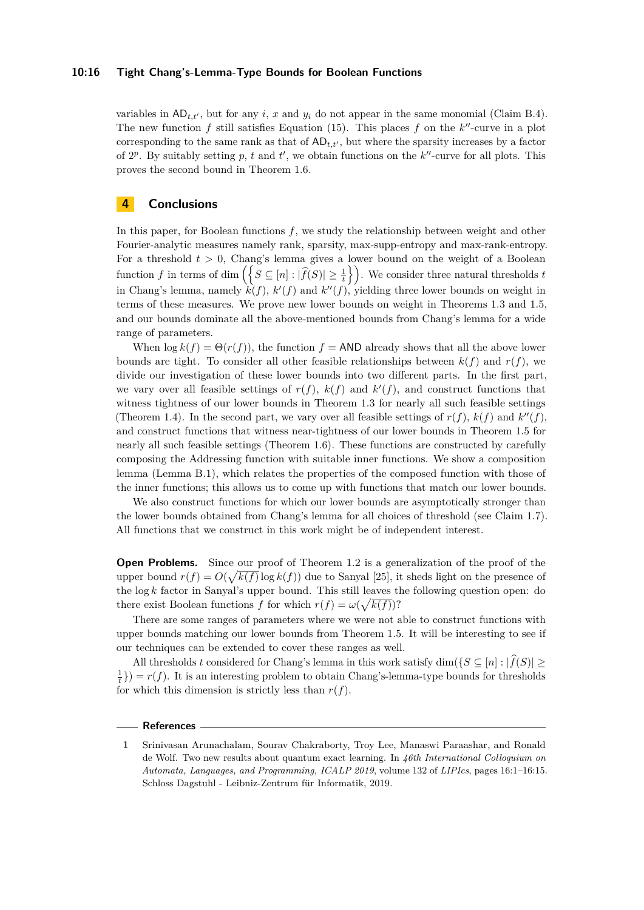#### **10:16 Tight Chang's-Lemma-Type Bounds for Boolean Functions**

variables in  $AD_{t,t'}$ , but for any *i*, *x* and  $y_i$  do not appear in the same monomial (Claim [B.4\)](#page-18-0). The new function  $f$  still satisfies Equation [\(15\)](#page-14-0). This places  $f$  on the  $k''$ -curve in a plot corresponding to the same rank as that of  $AD_{t,t'}$ , but where the sparsity increases by a factor of  $2^p$ . By suitably setting p, t and t', we obtain functions on the  $k''$ -curve for all plots. This proves the second bound in Theorem [1.6.](#page-5-1)

# **4 Conclusions**

In this paper, for Boolean functions *f*, we study the relationship between weight and other Fourier-analytic measures namely rank, sparsity, max-supp-entropy and max-rank-entropy. For a threshold  $t > 0$ , Chang's lemma gives a lower bound on the weight of a Boolean  $\text{function } f \text{ in terms of } \dim \left( \left\{ S \subseteq [n] : |\widehat{f}(S)| \geq \frac{1}{t} \right\} \right)$ . We consider three natural thresholds *t* in Chang's lemma, namely  $\hat{k}(f)$ ,  $k'(f)$  and  $k''(f)$ , yielding three lower bounds on weight in terms of these measures. We prove new lower bounds on weight in Theorems [1.3](#page-3-3) and [1.5,](#page-5-0) and our bounds dominate all the above-mentioned bounds from Chang's lemma for a wide range of parameters.

When  $\log k(f) = \Theta(r(f))$ , the function  $f = \text{AND}$  already shows that all the above lower bounds are tight. To consider all other feasible relationships between  $k(f)$  and  $r(f)$ , we divide our investigation of these lower bounds into two different parts. In the first part, we vary over all feasible settings of  $r(f)$ ,  $k(f)$  and  $k'(f)$ , and construct functions that witness tightness of our lower bounds in Theorem [1.3](#page-3-3) for nearly all such feasible settings (Theorem [1.4\)](#page-4-0). In the second part, we vary over all feasible settings of  $r(f)$ ,  $k(f)$  and  $k''(f)$ , and construct functions that witness near-tightness of our lower bounds in Theorem [1.5](#page-5-0) for nearly all such feasible settings (Theorem [1.6\)](#page-5-1). These functions are constructed by carefully composing the Addressing function with suitable inner functions. We show a composition lemma (Lemma [B.1\)](#page-1-2), which relates the properties of the composed function with those of the inner functions; this allows us to come up with functions that match our lower bounds.

We also construct functions for which our lower bounds are asymptotically stronger than the lower bounds obtained from Chang's lemma for all choices of threshold (see Claim [1.7\)](#page-5-2). All functions that we construct in this work might be of independent interest.

**Open Problems.** Since our proof of Theorem [1.2](#page-3-2) is a generalization of the proof of the upper bound  $r(f) = O(\sqrt{k(f)} \log k(f))$  due to Sanyal [\[25\]](#page-17-2), it sheds light on the presence of the log *k* factor in Sanyal's upper bound. This still leaves the following question open: do there exist Boolean functions *f* for which  $r(f) = \omega(\sqrt{k(f)})$ ?

There are some ranges of parameters where we were not able to construct functions with upper bounds matching our lower bounds from Theorem [1.5.](#page-5-0) It will be interesting to see if our techniques can be extended to cover these ranges as well.

All thresholds *t* considered for Chang's lemma in this work satisfy dim $(\{S \subseteq [n] : |\widehat{f}(S)| \geq \}$  $\frac{1}{t}$ }) =  $r(f)$ . It is an interesting problem to obtain Chang's-lemma-type bounds for thresholds for which this dimension is strictly less than  $r(f)$ .

#### **References**

<span id="page-15-0"></span>**<sup>1</sup>** Srinivasan Arunachalam, Sourav Chakraborty, Troy Lee, Manaswi Paraashar, and Ronald de Wolf. Two new results about quantum exact learning. In *46th International Colloquium on Automata, Languages, and Programming, ICALP 2019*, volume 132 of *LIPIcs*, pages 16:1–16:15. Schloss Dagstuhl - Leibniz-Zentrum für Informatik, 2019.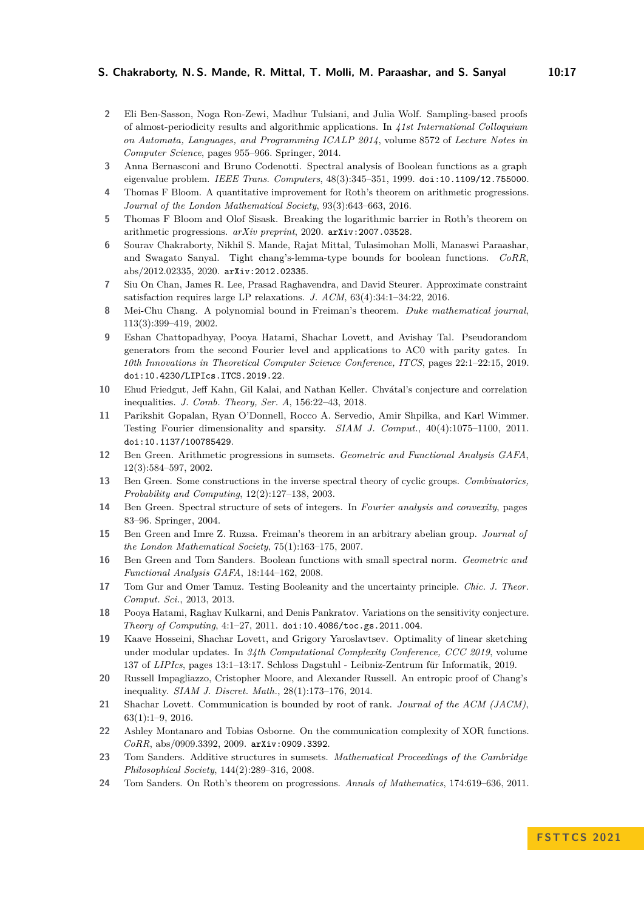- <span id="page-16-11"></span>**2** Eli Ben-Sasson, Noga Ron-Zewi, Madhur Tulsiani, and Julia Wolf. Sampling-based proofs of almost-periodicity results and algorithmic applications. In *41st International Colloquium on Automata, Languages, and Programming ICALP 2014*, volume 8572 of *Lecture Notes in Computer Science*, pages 955–966. Springer, 2014.
- <span id="page-16-22"></span>**3** Anna Bernasconi and Bruno Codenotti. Spectral analysis of Boolean functions as a graph eigenvalue problem. *IEEE Trans. Computers*, 48(3):345–351, 1999. [doi:10.1109/12.755000](https://doi.org/10.1109/12.755000).
- <span id="page-16-7"></span>**4** Thomas F Bloom. A quantitative improvement for Roth's theorem on arithmetic progressions. *Journal of the London Mathematical Society*, 93(3):643–663, 2016.
- <span id="page-16-8"></span>**5** Thomas F Bloom and Olof Sisask. Breaking the logarithmic barrier in Roth's theorem on arithmetic progressions. *arXiv preprint*, 2020. [arXiv:2007.03528](http://arxiv.org/abs/2007.03528).
- <span id="page-16-0"></span>**6** Sourav Chakraborty, Nikhil S. Mande, Rajat Mittal, Tulasimohan Molli, Manaswi Paraashar, and Swagato Sanyal. Tight chang's-lemma-type bounds for boolean functions. *CoRR*, abs/2012.02335, 2020. [arXiv:2012.02335](http://arxiv.org/abs/2012.02335).
- <span id="page-16-12"></span>**7** Siu On Chan, James R. Lee, Prasad Raghavendra, and David Steurer. Approximate constraint satisfaction requires large LP relaxations. *J. ACM*, 63(4):34:1–34:22, 2016.
- <span id="page-16-1"></span>**8** Mei-Chu Chang. A polynomial bound in Freiman's theorem. *Duke mathematical journal*, 113(3):399–419, 2002.
- <span id="page-16-19"></span>**9** Eshan Chattopadhyay, Pooya Hatami, Shachar Lovett, and Avishay Tal. Pseudorandom generators from the second Fourier level and applications to AC0 with parity gates. In *10th Innovations in Theoretical Computer Science Conference, ITCS*, pages 22:1–22:15, 2019. [doi:10.4230/LIPIcs.ITCS.2019.22](https://doi.org/10.4230/LIPIcs.ITCS.2019.22).
- <span id="page-16-14"></span>**10** Ehud Friedgut, Jeff Kahn, Gil Kalai, and Nathan Keller. Chvátal's conjecture and correlation inequalities. *J. Comb. Theory, Ser. A*, 156:22–43, 2018.
- <span id="page-16-16"></span>**11** Parikshit Gopalan, Ryan O'Donnell, Rocco A. Servedio, Amir Shpilka, and Karl Wimmer. Testing Fourier dimensionality and sparsity. *SIAM J. Comput.*, 40(4):1075–1100, 2011. [doi:10.1137/100785429](https://doi.org/10.1137/100785429).
- <span id="page-16-3"></span>**12** Ben Green. Arithmetic progressions in sumsets. *Geometric and Functional Analysis GAFA*, 12(3):584–597, 2002.
- <span id="page-16-10"></span>**13** Ben Green. Some constructions in the inverse spectral theory of cyclic groups. *Combinatorics, Probability and Computing*, 12(2):127–138, 2003.
- <span id="page-16-2"></span>**14** Ben Green. Spectral structure of sets of integers. In *Fourier analysis and convexity*, pages 83–96. Springer, 2004.
- <span id="page-16-9"></span>**15** Ben Green and Imre Z. Ruzsa. Freiman's theorem in an arbitrary abelian group. *Journal of the London Mathematical Society*, 75(1):163–175, 2007.
- <span id="page-16-5"></span>**16** Ben Green and Tom Sanders. Boolean functions with small spectral norm. *Geometric and Functional Analysis GAFA*, 18:144–162, 2008.
- <span id="page-16-17"></span>**17** Tom Gur and Omer Tamuz. Testing Booleanity and the uncertainty principle. *Chic. J. Theor. Comput. Sci.*, 2013, 2013.
- <span id="page-16-18"></span>**18** Pooya Hatami, Raghav Kulkarni, and Denis Pankratov. Variations on the sensitivity conjecture. *Theory of Computing*, 4:1–27, 2011. [doi:10.4086/toc.gs.2011.004](https://doi.org/10.4086/toc.gs.2011.004).
- <span id="page-16-13"></span>**19** Kaave Hosseini, Shachar Lovett, and Grigory Yaroslavtsev. Optimality of linear sketching under modular updates. In *34th Computational Complexity Conference, CCC 2019*, volume 137 of *LIPIcs*, pages 13:1–13:17. Schloss Dagstuhl - Leibniz-Zentrum für Informatik, 2019.
- <span id="page-16-15"></span>**20** Russell Impagliazzo, Cristopher Moore, and Alexander Russell. An entropic proof of Chang's inequality. *SIAM J. Discret. Math.*, 28(1):173–176, 2014.
- <span id="page-16-21"></span>**21** Shachar Lovett. Communication is bounded by root of rank. *Journal of the ACM (JACM)*, 63(1):1–9, 2016.
- <span id="page-16-20"></span>**22** Ashley Montanaro and Tobias Osborne. On the communication complexity of XOR functions. *CoRR*, abs/0909.3392, 2009. [arXiv:0909.3392](http://arxiv.org/abs/0909.3392).
- <span id="page-16-4"></span>**23** Tom Sanders. Additive structures in sumsets. *Mathematical Proceedings of the Cambridge Philosophical Society*, 144(2):289–316, 2008.
- <span id="page-16-6"></span>**24** Tom Sanders. On Roth's theorem on progressions. *Annals of Mathematics*, 174:619–636, 2011.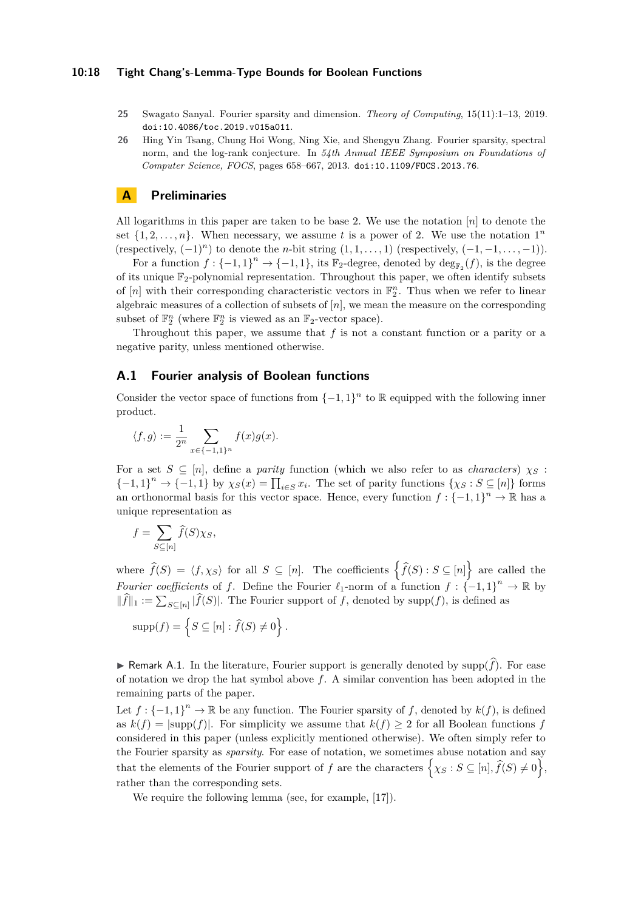- <span id="page-17-2"></span>**25** Swagato Sanyal. Fourier sparsity and dimension. *Theory of Computing*, 15(11):1–13, 2019. [doi:10.4086/toc.2019.v015a011](https://doi.org/10.4086/toc.2019.v015a011).
- <span id="page-17-0"></span>**26** Hing Yin Tsang, Chung Hoi Wong, Ning Xie, and Shengyu Zhang. Fourier sparsity, spectral norm, and the log-rank conjecture. In *54th Annual IEEE Symposium on Foundations of Computer Science, FOCS*, pages 658–667, 2013. [doi:10.1109/FOCS.2013.76](https://doi.org/10.1109/FOCS.2013.76).

# <span id="page-17-1"></span>**A Preliminaries**

All logarithms in this paper are taken to be base 2. We use the notation [*n*] to denote the set  $\{1, 2, \ldots, n\}$ . When necessary, we assume *t* is a power of 2. We use the notation  $1^n$ (respectively,  $(-1)^n$ ) to denote the *n*-bit string  $(1, 1, \ldots, 1)$  (respectively,  $(-1, -1, \ldots, -1)$ ).

For a function  $f: \{-1,1\}^n \to \{-1,1\}$ , its  $\mathbb{F}_2$ -degree, denoted by  $\deg_{\mathbb{F}_2}(f)$ , is the degree of its unique  $\mathbb{F}_2$ -polynomial representation. Throughout this paper, we often identify subsets of  $[n]$  with their corresponding characteristic vectors in  $\mathbb{F}_2^n$ . Thus when we refer to linear algebraic measures of a collection of subsets of [*n*], we mean the measure on the corresponding subset of  $\mathbb{F}_2^n$  (where  $\mathbb{F}_2^n$  is viewed as an  $\mathbb{F}_2$ -vector space).

Throughout this paper, we assume that *f* is not a constant function or a parity or a negative parity, unless mentioned otherwise.

## **A.1 Fourier analysis of Boolean functions**

Consider the vector space of functions from  $\{-1, 1\}^n$  to R equipped with the following inner product.

$$
\langle f, g \rangle := \frac{1}{2^n} \sum_{x \in \{-1, 1\}^n} f(x)g(x).
$$

For a set  $S \subseteq [n]$ , define a *parity* function (which we also refer to as *characters*)  $\chi_S$ :  ${-1, 1}^n \to {-1, 1}$  by  $\chi_S(x) = \prod_{i \in S} x_i$ . The set of parity functions  $\{\chi_S : S \subseteq [n]\}$  forms an orthonormal basis for this vector space. Hence, every function  $f: \{-1,1\}^n \to \mathbb{R}$  has a unique representation as

$$
f = \sum_{S \subseteq [n]} \widehat{f}(S) \chi_S,
$$

where  $\widehat{f}(S) = \langle f, \chi_S \rangle$  for all  $S \subseteq [n]$ . The coefficients  $\left\{ \widehat{f}(S) : S \subseteq [n] \right\}$  are called the *Fourier coefficients* of *f*. Define the Fourier  $\ell_1$ -norm of a function  $f : \{-1,1\}^n \to \mathbb{R}$  by  $||f||_1 := \sum_{S \subseteq [n]} |f(S)|$ . The Fourier support of *f*, denoted by supp(*f*), is defined as

$$
supp(f) = \left\{ S \subseteq [n] : \hat{f}(S) \neq 0 \right\}.
$$

▶ Remark A.1. In the literature, Fourier support is generally denoted by supp $(\hat{f})$ . For ease of notation we drop the hat symbol above *f*. A similar convention has been adopted in the remaining parts of the paper.

Let  $f: \{-1,1\}^n \to \mathbb{R}$  be any function. The Fourier sparsity of f, denoted by  $k(f)$ , is defined as  $k(f) = |\text{supp}(f)|$ . For simplicity we assume that  $k(f) \geq 2$  for all Boolean functions *f* considered in this paper (unless explicitly mentioned otherwise). We often simply refer to the Fourier sparsity as *sparsity*. For ease of notation, we sometimes abuse notation and say that the elements of the Fourier support of *f* are the characters  $\left\{ \chi_S : S \subseteq [n], \widehat{f}(S) \neq 0 \right\},\$ rather than the corresponding sets.

<span id="page-17-3"></span>We require the following lemma (see, for example, [\[17\]](#page-16-17)).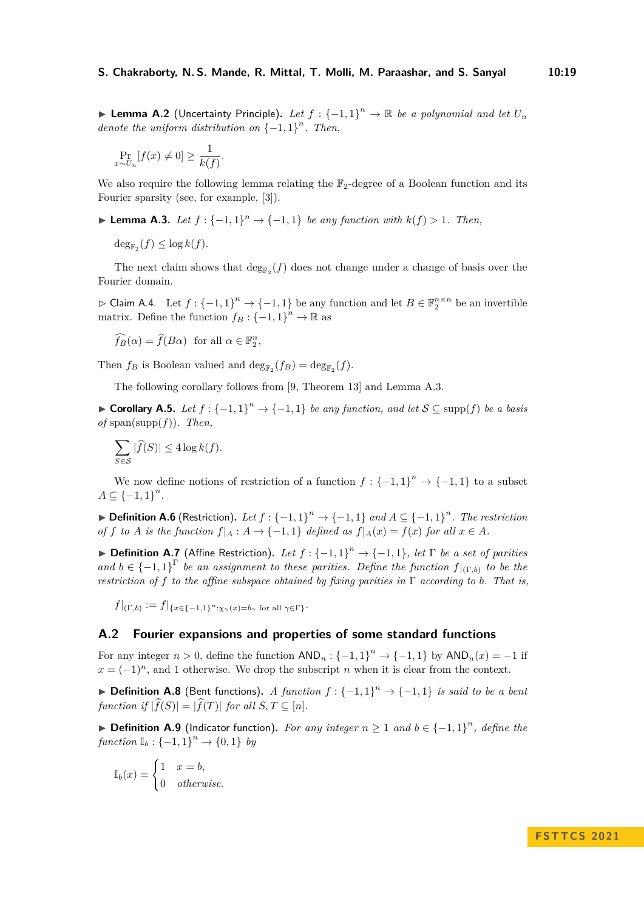▶ Lemma A.2 (Uncertainty Principle). Let  $f: {-1,1}^n \rightarrow \mathbb{R}$  be a polynomial and let  $U_n$ *denote the uniform distribution on*  $\{-1, 1\}^n$ *. Then,* 

$$
\Pr_{x \sim U_n}[f(x) \neq 0] \ge \frac{1}{k(f)}.
$$

We also require the following lemma relating the  $\mathbb{F}_2$ -degree of a Boolean function and its Fourier sparsity (see, for example, [\[3\]](#page-16-22)).

▶ **Lemma A.3.** *Let*  $f$  :  $\{-1,1\}$ <sup>n</sup>  $\rightarrow$   $\{-1,1\}$  *be any function with*  $k(f) > 1$ *. Then,* 

 $\deg_{\mathbb{F}_2}(f) \leq \log k(f).$ 

The next claim shows that  $\deg_{\mathbb{F}_2}(f)$  does not change under a change of basis over the Fourier domain.

<span id="page-18-0"></span> $\rhd$  Claim A.4. Let  $f: \{-1, 1\}^n \to \{-1, 1\}$  be any function and let  $B \in \mathbb{F}_2^{n \times n}$  be an invertible matrix. Define the function  $f_B: \{-1, 1\}^n \to \mathbb{R}$  as

$$
\widehat{f_B}(\alpha) = \widehat{f}(B\alpha) \text{ for all } \alpha \in \mathbb{F}_2^n,
$$

Then  $f_B$  is Boolean valued and  $\deg_{\mathbb{F}_2}(f_B) = \deg_{\mathbb{F}_2}(f)$ .

The following corollary follows from [\[9,](#page-16-19) Theorem 13] and Lemma [A.3.](#page-8-4)

▶ **Corollary A.5.** *Let*  $f: \{-1, 1\}^n \rightarrow \{-1, 1\}$  *be any function, and let*  $S \subseteq \text{supp}(f)$  *be a basis of* span(supp(*f*))*. Then,*

$$
\sum_{S \in \mathcal{S}} |\widehat{f}(S)| \le 4 \log k(f).
$$

We now define notions of restriction of a function  $f: \{-1,1\}^n \to \{-1,1\}$  to a subset  $A \subseteq \{-1, 1\}^n$ .

▶ **Definition A.6** (Restriction). Let  $f : \{-1, 1\}^n \to \{-1, 1\}$  and  $A \subseteq \{-1, 1\}^n$ . The restriction *of f to A is the function*  $f|_A : A \to \{-1,1\}$  *defined as*  $f|_A(x) = f(x)$  *for all*  $x \in A$ *.* 

▶ **Definition A.7** (Affine Restriction). Let  $f: \{-1, 1\}^n \rightarrow \{-1, 1\}$ , let  $\Gamma$  be a set of parities and  $b \in \{-1,1\}^{\Gamma}$  be an assignment to these parities. Define the function  $f|_{(\Gamma,b)}$  to be the *restriction of f to the affine subspace obtained by fixing parities in* Γ *according to b. That is,*

 $f|_{(\Gamma,b)} := f|_{\{x \in \{-1,1\}^n : \chi_\gamma(x) = b_\gamma \text{ for all } \gamma \in \Gamma\}}.$ 

# **A.2 Fourier expansions and properties of some standard functions**

For any integer  $n > 0$ , define the function  $AND_n : \{-1, 1\}^n \to \{-1, 1\}$  by  $AND_n(x) = -1$  if  $x = (-1)^n$ , and 1 otherwise. We drop the subscript *n* when it is clear from the context.

▶ **Definition A.8** (Bent functions). *A function*  $f: {-1, 1}^n \rightarrow {-1, 1}$  *is said to be a bent function if*  $|\widehat{f}(S)| = |\widehat{f}(T)|$  *for all*  $S, T \subseteq [n]$ *.* 

▶ **Definition A.9** (Indicator function). For any integer  $n \ge 1$  and  $b \in \{-1,1\}^n$ , define the  $function \mathbb{I}_b: \{-1,1\}^n \to \{0,1\}$  *by* 

<span id="page-18-1"></span>
$$
\mathbb{I}_b(x) = \begin{cases} 1 & x = b, \\ 0 & otherwise. \end{cases}
$$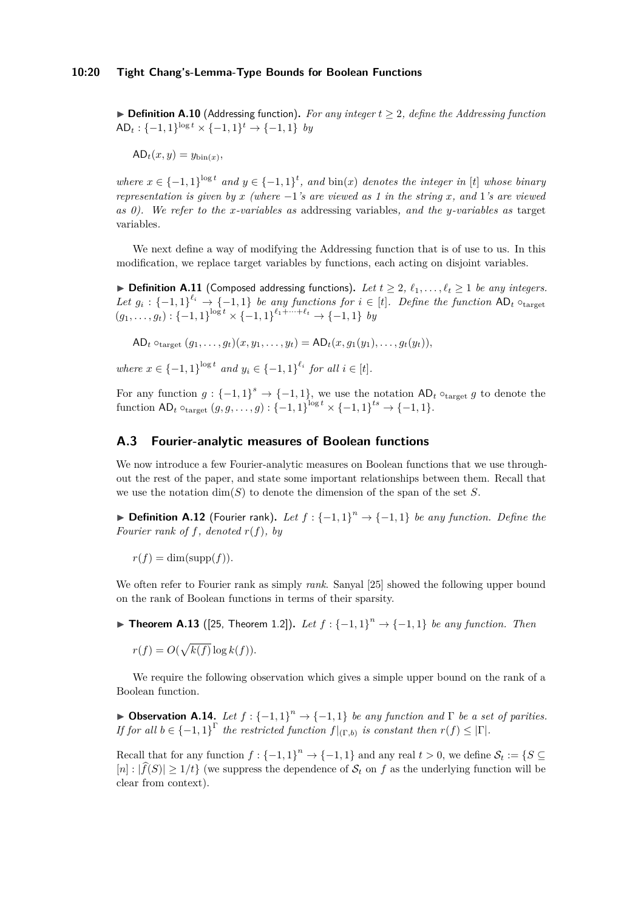▶ **Definition A.10** (Addressing function). For any integer  $t \geq 2$ , define the Addressing function AD<sub>t</sub> : {-1, 1}<sup>log *t*</sup> × {-1, 1}<sup>*t*</sup> → {-1, 1} *by* 

 $AD_t(x, y) = y_{\text{bin}(x)}$ 

*where*  $x \in \{-1, 1\}^{\log t}$  *and*  $y \in \{-1, 1\}^t$ , *and*  $\text{bin}(x)$  *denotes the integer in* [*t*] *whose binary representation is given by x (where* −1*'s are viewed as 1 in the string x, and* 1*'s are viewed as 0). We refer to the x-variables as* addressing variables*, and the y-variables as* target variables*.*

We next define a way of modifying the Addressing function that is of use to us. In this modification, we replace target variables by functions, each acting on disjoint variables.

<span id="page-19-3"></span> $\blacktriangleright$  **Definition A.11** (Composed addressing functions). Let  $t \geq 2$ ,  $\ell_1, \ldots, \ell_t \geq 1$  be any integers. *Let*  $g_i: \{-1,1\}^{\ell_i} \to \{-1,1\}$  *be any functions for*  $i \in [t]$ *. Define the function*  $AD_t \circ_{\text{target}}$  $(g_1, \ldots, g_t) : \{-1, 1\}^{\log t} \times \{-1, 1\}^{\ell_1 + \cdots + \ell_t} \to \{-1, 1\}$  *by* 

 $AD_t \circ_{\text{target}} (g_1, \ldots, g_t)(x, y_1, \ldots, y_t) = AD_t(x, g_1(y_1), \ldots, g_t(y_t)),$ 

*where*  $x \in \{-1, 1\}^{\log t}$  *and*  $y_i \in \{-1, 1\}^{\ell_i}$  *for all*  $i \in [t]$ *.* 

For any function  $g: \{-1,1\}^s \to \{-1,1\}$ , we use the notation  $AD_t \circ_{\text{target}} g$  to denote the function  $AD_t$   $\circ_{\text{target}} (g, g, \ldots, g) : \{-1, 1\}^{\log t} \times \{-1, 1\}^{ts} \to \{-1, 1\}.$ 

#### **A.3 Fourier-analytic measures of Boolean functions**

We now introduce a few Fourier-analytic measures on Boolean functions that we use throughout the rest of the paper, and state some important relationships between them. Recall that we use the notation  $\dim(S)$  to denote the dimension of the span of the set *S*.

<span id="page-19-0"></span>▶ **Definition A.12** (Fourier rank). Let  $f: {-1,1}^n \rightarrow {-1,1}$  be any function. Define the *Fourier rank of f, denoted r*(*f*)*, by*

 $r(f) = \dim(\text{supp}(f)).$ 

We often refer to Fourier rank as simply *rank*. Sanyal [\[25\]](#page-17-2) showed the following upper bound on the rank of Boolean functions in terms of their sparsity.

▶ **Theorem A.13** ([\[25,](#page-17-2) Theorem 1.2])**.** *Let f* : {−1*,* 1} *<sup>n</sup>* → {−1*,* 1} *be any function. Then*

 $r(f) = O(\sqrt{k(f)} \log k(f)).$ 

We require the following observation which gives a simple upper bound on the rank of a Boolean function.

<span id="page-19-2"></span>▶ **Observation A.14.** *Let*  $f: {-1, 1}^n \rightarrow {-1, 1}$  *be any function and*  $\Gamma$  *be a set of parities. If for all*  $b \in \{-1,1\}^{\Gamma}$  *the restricted function*  $f|_{(\Gamma,b)}$  *is constant then*  $r(f) \leq |\Gamma|$ *.* 

<span id="page-19-1"></span>Recall that for any function  $f: \{-1, 1\}^n \to \{-1, 1\}$  and any real  $t > 0$ , we define  $S_t := \{S \subseteq$  $[n]: |f(S)| \geq 1/t$  (we suppress the dependence of  $S_t$  on f as the underlying function will be clear from context).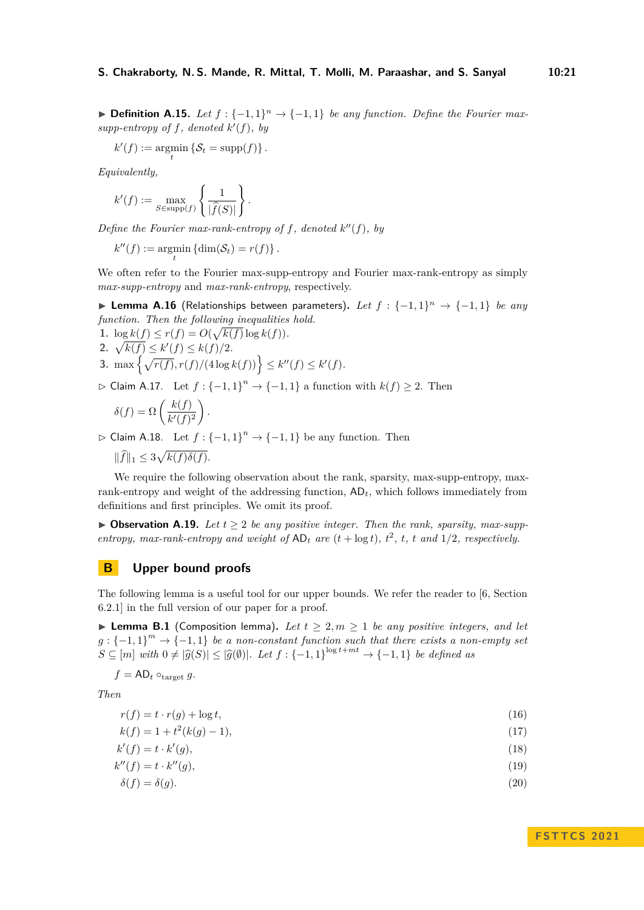**► Definition A.15.** Let  $f: \{-1, 1\}^n \rightarrow \{-1, 1\}$  be any function. Define the Fourier maxsupp-entropy of  $f$ *, denoted*  $k'(f)$ *, by* 

$$
k'(f) := \operatorname*{argmin}_{t} \left\{ \mathcal{S}_t = \operatorname{supp}(f) \right\}.
$$

*Equivalently,*

$$
k'(f) := \max_{S \in \text{supp}(f)} \left\{ \frac{1}{|\widehat{f}(S)|} \right\}.
$$

*Define the Fourier max-rank-entropy of*  $f$ *, denoted*  $k''(f)$ *, by* 

 $k''(f) := \operatorname*{argmin}_{t} \{ \dim(S_t) = r(f) \}.$ 

We often refer to the Fourier max-supp-entropy and Fourier max-rank-entropy as simply *max-supp-entropy* and *max-rank-entropy*, respectively.

<span id="page-20-0"></span>▶ **Lemma A.16** (Relationships between parameters)**.** *Let f* : {−1*,* 1} *<sup>n</sup>* → {−1*,* 1} *be any function. Then the following inequalities hold.*

1.  $\log k(f) \leq r(f) = O(\sqrt{k(f)} \log k(f)).$ **2.**  $\sqrt{k(f)} \leq k'(f) \leq k(f)/2$ *.* **3.** max  $\left\{\sqrt{r(f)}, r(f)/(4\log k(f))\right\} \leq k''(f) \leq k'(f)$ .

<span id="page-20-1"></span> $\rhd$  Claim A.17. Let  $f: {-1, 1}^n \rightarrow {-1, 1}$  a function with  $k(f) ≥ 2$ . Then

$$
\delta(f) = \Omega\left(\frac{k(f)}{k'(f)^2}\right).
$$

 $\rhd$  Claim A.18. Let  $f: {-1, 1}^n \rightarrow {-1, 1}$  be any function. Then

 $\|\widehat{f}\|_1 \leq 3\sqrt{k(f)\delta(f)}.$ 

We require the following observation about the rank, sparsity, max-supp-entropy, maxrank-entropy and weight of the addressing function, AD*t*, which follows immediately from definitions and first principles. We omit its proof.

<span id="page-20-2"></span> $\triangleright$  **Observation A.19.** *Let*  $t > 2$  *be any positive integer. Then the rank, sparsity, max-suppentropy, max-rank-entropy and weight of*  $AD_t$  *are*  $(t + \log t)$ *,*  $t^2$ *,*  $t$ *,*  $t$  *and*  $1/2$ *, respectively.* 

# **B Upper bound proofs**

The following lemma is a useful tool for our upper bounds. We refer the reader to [\[6,](#page-16-0) Section 6.2.1] in the full version of our paper for a proof.

▶ **Lemma B.1** (Composition lemma). Let  $t \geq 2, m \geq 1$  be any positive integers, and let  $g: \{-1,1\}^m \rightarrow \{-1,1\}$  *be a non-constant function such that there exists a non-empty set*  $S \subseteq [m]$  *with*  $0 \neq |\widehat{g}(S)| \leq |\widehat{g}(\emptyset)|$ *. Let*  $f : \{-1,1\}^{\log t + mt} \to \{-1,1\}$  *be defined as* 

$$
f = \mathsf{AD}_t \circ_{\text{target}} g.
$$

*Then*

$$
r(f) = t \cdot r(g) + \log t,\tag{16}
$$

 $k(f) = 1 + t^2(k(g) - 1)$ , (17)

$$
k'(f) = t \cdot k'(g),\tag{18}
$$

$$
k''(f) = t \cdot k''(g),\tag{19}
$$

$$
\delta(f) = \delta(g). \tag{20}
$$